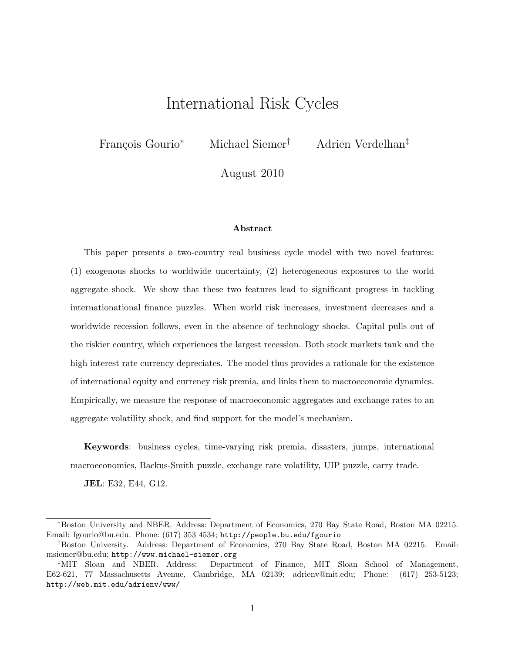## International Risk Cycles

François Gourio<sup>∗</sup> Michael Siemer<sup>†</sup> Adrien Verdelhan<sup>‡</sup>

August 2010

#### Abstract

This paper presents a two-country real business cycle model with two novel features: (1) exogenous shocks to worldwide uncertainty, (2) heterogeneous exposures to the world aggregate shock. We show that these two features lead to significant progress in tackling internationational finance puzzles. When world risk increases, investment decreases and a worldwide recession follows, even in the absence of technology shocks. Capital pulls out of the riskier country, which experiences the largest recession. Both stock markets tank and the high interest rate currency depreciates. The model thus provides a rationale for the existence of international equity and currency risk premia, and links them to macroeconomic dynamics. Empirically, we measure the response of macroeconomic aggregates and exchange rates to an aggregate volatility shock, and find support for the model's mechanism.

Keywords: business cycles, time-varying risk premia, disasters, jumps, international macroeconomics, Backus-Smith puzzle, exchange rate volatility, UIP puzzle, carry trade.

JEL: E32, E44, G12.

<sup>∗</sup>Boston University and NBER. Address: Department of Economics, 270 Bay State Road, Boston MA 02215. Email: fgourio@bu.edu. Phone: (617) 353 4534; http://people.bu.edu/fgourio

<sup>†</sup>Boston University. Address: Department of Economics, 270 Bay State Road, Boston MA 02215. Email: msiemer@bu.edu; http://www.michael-siemer.org

<sup>‡</sup>MIT Sloan and NBER. Address: Department of Finance, MIT Sloan School of Management, E62-621, 77 Massachusetts Avenue, Cambridge, MA 02139; adrienv@mit.edu; Phone: (617) 253-5123; http://web.mit.edu/adrienv/www/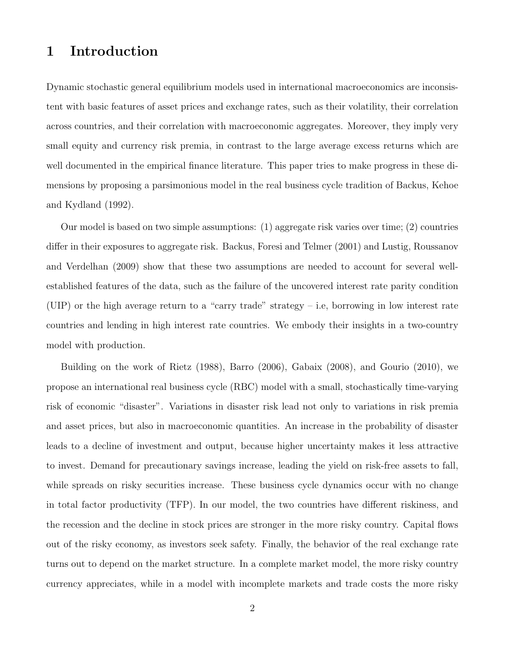## 1 Introduction

Dynamic stochastic general equilibrium models used in international macroeconomics are inconsistent with basic features of asset prices and exchange rates, such as their volatility, their correlation across countries, and their correlation with macroeconomic aggregates. Moreover, they imply very small equity and currency risk premia, in contrast to the large average excess returns which are well documented in the empirical finance literature. This paper tries to make progress in these dimensions by proposing a parsimonious model in the real business cycle tradition of Backus, Kehoe and Kydland (1992).

Our model is based on two simple assumptions: (1) aggregate risk varies over time; (2) countries differ in their exposures to aggregate risk. Backus, Foresi and Telmer (2001) and Lustig, Roussanov and Verdelhan (2009) show that these two assumptions are needed to account for several wellestablished features of the data, such as the failure of the uncovered interest rate parity condition (UIP) or the high average return to a "carry trade" strategy – i.e, borrowing in low interest rate countries and lending in high interest rate countries. We embody their insights in a two-country model with production.

Building on the work of Rietz (1988), Barro (2006), Gabaix (2008), and Gourio (2010), we propose an international real business cycle (RBC) model with a small, stochastically time-varying risk of economic "disaster". Variations in disaster risk lead not only to variations in risk premia and asset prices, but also in macroeconomic quantities. An increase in the probability of disaster leads to a decline of investment and output, because higher uncertainty makes it less attractive to invest. Demand for precautionary savings increase, leading the yield on risk-free assets to fall, while spreads on risky securities increase. These business cycle dynamics occur with no change in total factor productivity (TFP). In our model, the two countries have different riskiness, and the recession and the decline in stock prices are stronger in the more risky country. Capital flows out of the risky economy, as investors seek safety. Finally, the behavior of the real exchange rate turns out to depend on the market structure. In a complete market model, the more risky country currency appreciates, while in a model with incomplete markets and trade costs the more risky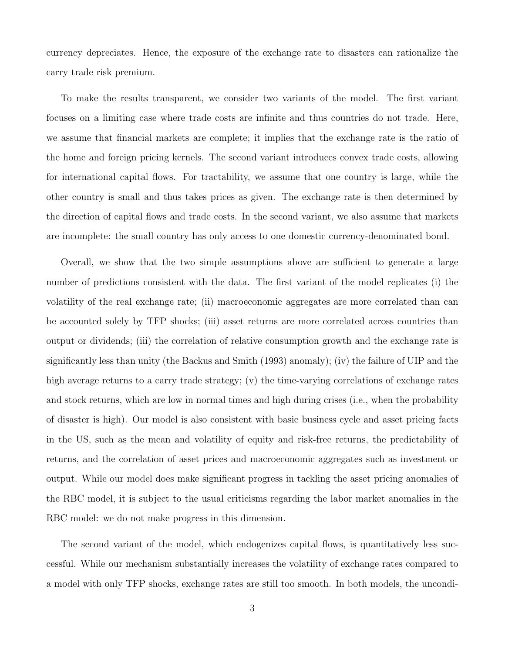currency depreciates. Hence, the exposure of the exchange rate to disasters can rationalize the carry trade risk premium.

To make the results transparent, we consider two variants of the model. The first variant focuses on a limiting case where trade costs are infinite and thus countries do not trade. Here, we assume that financial markets are complete; it implies that the exchange rate is the ratio of the home and foreign pricing kernels. The second variant introduces convex trade costs, allowing for international capital flows. For tractability, we assume that one country is large, while the other country is small and thus takes prices as given. The exchange rate is then determined by the direction of capital flows and trade costs. In the second variant, we also assume that markets are incomplete: the small country has only access to one domestic currency-denominated bond.

Overall, we show that the two simple assumptions above are sufficient to generate a large number of predictions consistent with the data. The first variant of the model replicates (i) the volatility of the real exchange rate; (ii) macroeconomic aggregates are more correlated than can be accounted solely by TFP shocks; (iii) asset returns are more correlated across countries than output or dividends; (iii) the correlation of relative consumption growth and the exchange rate is significantly less than unity (the Backus and Smith (1993) anomaly); (iv) the failure of UIP and the high average returns to a carry trade strategy; (v) the time-varying correlations of exchange rates and stock returns, which are low in normal times and high during crises (i.e., when the probability of disaster is high). Our model is also consistent with basic business cycle and asset pricing facts in the US, such as the mean and volatility of equity and risk-free returns, the predictability of returns, and the correlation of asset prices and macroeconomic aggregates such as investment or output. While our model does make significant progress in tackling the asset pricing anomalies of the RBC model, it is subject to the usual criticisms regarding the labor market anomalies in the RBC model: we do not make progress in this dimension.

The second variant of the model, which endogenizes capital flows, is quantitatively less successful. While our mechanism substantially increases the volatility of exchange rates compared to a model with only TFP shocks, exchange rates are still too smooth. In both models, the uncondi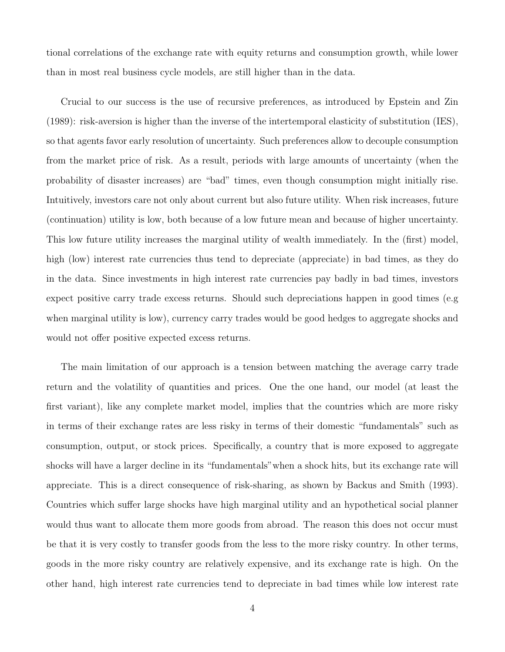tional correlations of the exchange rate with equity returns and consumption growth, while lower than in most real business cycle models, are still higher than in the data.

Crucial to our success is the use of recursive preferences, as introduced by Epstein and Zin (1989): risk-aversion is higher than the inverse of the intertemporal elasticity of substitution (IES), so that agents favor early resolution of uncertainty. Such preferences allow to decouple consumption from the market price of risk. As a result, periods with large amounts of uncertainty (when the probability of disaster increases) are "bad" times, even though consumption might initially rise. Intuitively, investors care not only about current but also future utility. When risk increases, future (continuation) utility is low, both because of a low future mean and because of higher uncertainty. This low future utility increases the marginal utility of wealth immediately. In the (first) model, high (low) interest rate currencies thus tend to depreciate (appreciate) in bad times, as they do in the data. Since investments in high interest rate currencies pay badly in bad times, investors expect positive carry trade excess returns. Should such depreciations happen in good times (e.g when marginal utility is low), currency carry trades would be good hedges to aggregate shocks and would not offer positive expected excess returns.

The main limitation of our approach is a tension between matching the average carry trade return and the volatility of quantities and prices. One the one hand, our model (at least the first variant), like any complete market model, implies that the countries which are more risky in terms of their exchange rates are less risky in terms of their domestic "fundamentals" such as consumption, output, or stock prices. Specifically, a country that is more exposed to aggregate shocks will have a larger decline in its "fundamentals"when a shock hits, but its exchange rate will appreciate. This is a direct consequence of risk-sharing, as shown by Backus and Smith (1993). Countries which suffer large shocks have high marginal utility and an hypothetical social planner would thus want to allocate them more goods from abroad. The reason this does not occur must be that it is very costly to transfer goods from the less to the more risky country. In other terms, goods in the more risky country are relatively expensive, and its exchange rate is high. On the other hand, high interest rate currencies tend to depreciate in bad times while low interest rate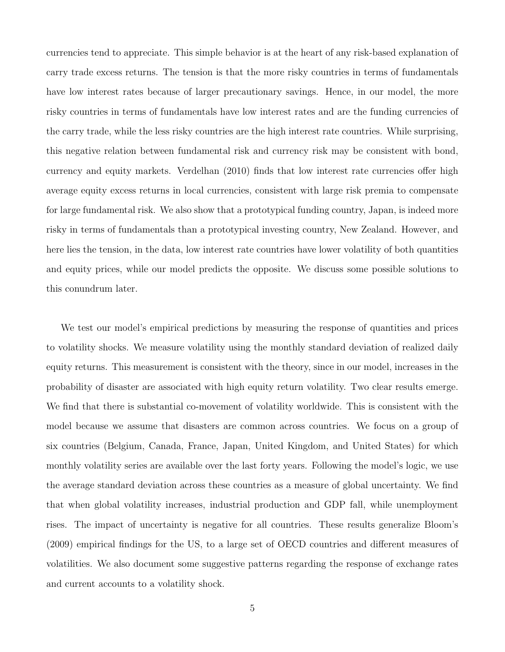currencies tend to appreciate. This simple behavior is at the heart of any risk-based explanation of carry trade excess returns. The tension is that the more risky countries in terms of fundamentals have low interest rates because of larger precautionary savings. Hence, in our model, the more risky countries in terms of fundamentals have low interest rates and are the funding currencies of the carry trade, while the less risky countries are the high interest rate countries. While surprising, this negative relation between fundamental risk and currency risk may be consistent with bond, currency and equity markets. Verdelhan (2010) finds that low interest rate currencies offer high average equity excess returns in local currencies, consistent with large risk premia to compensate for large fundamental risk. We also show that a prototypical funding country, Japan, is indeed more risky in terms of fundamentals than a prototypical investing country, New Zealand. However, and here lies the tension, in the data, low interest rate countries have lower volatility of both quantities and equity prices, while our model predicts the opposite. We discuss some possible solutions to this conundrum later.

We test our model's empirical predictions by measuring the response of quantities and prices to volatility shocks. We measure volatility using the monthly standard deviation of realized daily equity returns. This measurement is consistent with the theory, since in our model, increases in the probability of disaster are associated with high equity return volatility. Two clear results emerge. We find that there is substantial co-movement of volatility worldwide. This is consistent with the model because we assume that disasters are common across countries. We focus on a group of six countries (Belgium, Canada, France, Japan, United Kingdom, and United States) for which monthly volatility series are available over the last forty years. Following the model's logic, we use the average standard deviation across these countries as a measure of global uncertainty. We find that when global volatility increases, industrial production and GDP fall, while unemployment rises. The impact of uncertainty is negative for all countries. These results generalize Bloom's (2009) empirical findings for the US, to a large set of OECD countries and different measures of volatilities. We also document some suggestive patterns regarding the response of exchange rates and current accounts to a volatility shock.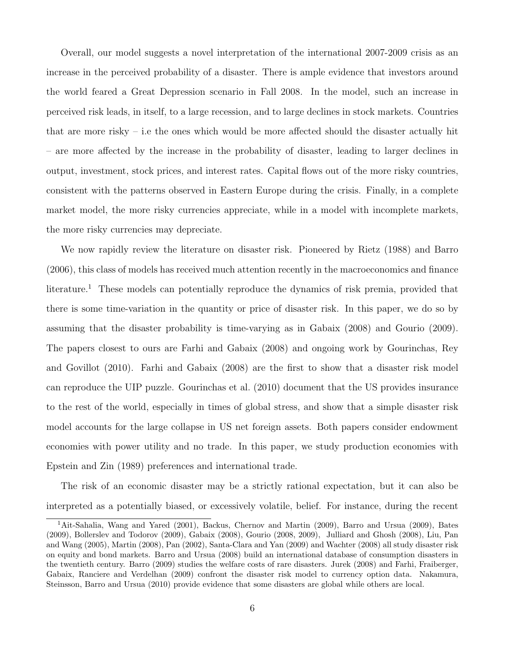Overall, our model suggests a novel interpretation of the international 2007-2009 crisis as an increase in the perceived probability of a disaster. There is ample evidence that investors around the world feared a Great Depression scenario in Fall 2008. In the model, such an increase in perceived risk leads, in itself, to a large recession, and to large declines in stock markets. Countries that are more risky – i.e the ones which would be more affected should the disaster actually hit – are more affected by the increase in the probability of disaster, leading to larger declines in output, investment, stock prices, and interest rates. Capital flows out of the more risky countries, consistent with the patterns observed in Eastern Europe during the crisis. Finally, in a complete market model, the more risky currencies appreciate, while in a model with incomplete markets, the more risky currencies may depreciate.

We now rapidly review the literature on disaster risk. Pioneered by Rietz (1988) and Barro (2006), this class of models has received much attention recently in the macroeconomics and finance literature.<sup>1</sup> These models can potentially reproduce the dynamics of risk premia, provided that there is some time-variation in the quantity or price of disaster risk. In this paper, we do so by assuming that the disaster probability is time-varying as in Gabaix (2008) and Gourio (2009). The papers closest to ours are Farhi and Gabaix (2008) and ongoing work by Gourinchas, Rey and Govillot (2010). Farhi and Gabaix (2008) are the first to show that a disaster risk model can reproduce the UIP puzzle. Gourinchas et al. (2010) document that the US provides insurance to the rest of the world, especially in times of global stress, and show that a simple disaster risk model accounts for the large collapse in US net foreign assets. Both papers consider endowment economies with power utility and no trade. In this paper, we study production economies with Epstein and Zin (1989) preferences and international trade.

The risk of an economic disaster may be a strictly rational expectation, but it can also be interpreted as a potentially biased, or excessively volatile, belief. For instance, during the recent

<sup>1</sup>Ait-Sahalia, Wang and Yared (2001), Backus, Chernov and Martin (2009), Barro and Ursua (2009), Bates (2009), Bollerslev and Todorov (2009), Gabaix (2008), Gourio (2008, 2009), Julliard and Ghosh (2008), Liu, Pan and Wang (2005), Martin (2008), Pan (2002), Santa-Clara and Yan (2009) and Wachter (2008) all study disaster risk on equity and bond markets. Barro and Ursua (2008) build an international database of consumption disasters in the twentieth century. Barro (2009) studies the welfare costs of rare disasters. Jurek (2008) and Farhi, Fraiberger, Gabaix, Ranciere and Verdelhan (2009) confront the disaster risk model to currency option data. Nakamura, Steinsson, Barro and Ursua (2010) provide evidence that some disasters are global while others are local.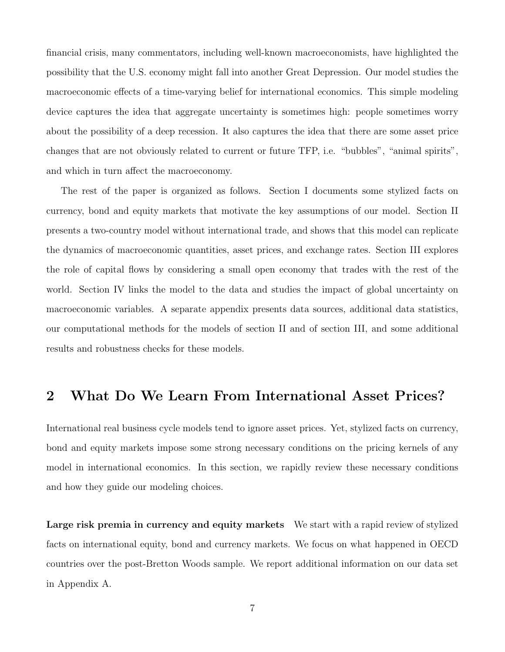financial crisis, many commentators, including well-known macroeconomists, have highlighted the possibility that the U.S. economy might fall into another Great Depression. Our model studies the macroeconomic effects of a time-varying belief for international economics. This simple modeling device captures the idea that aggregate uncertainty is sometimes high: people sometimes worry about the possibility of a deep recession. It also captures the idea that there are some asset price changes that are not obviously related to current or future TFP, i.e. "bubbles", "animal spirits", and which in turn affect the macroeconomy.

The rest of the paper is organized as follows. Section I documents some stylized facts on currency, bond and equity markets that motivate the key assumptions of our model. Section II presents a two-country model without international trade, and shows that this model can replicate the dynamics of macroeconomic quantities, asset prices, and exchange rates. Section III explores the role of capital flows by considering a small open economy that trades with the rest of the world. Section IV links the model to the data and studies the impact of global uncertainty on macroeconomic variables. A separate appendix presents data sources, additional data statistics, our computational methods for the models of section II and of section III, and some additional results and robustness checks for these models.

## 2 What Do We Learn From International Asset Prices?

International real business cycle models tend to ignore asset prices. Yet, stylized facts on currency, bond and equity markets impose some strong necessary conditions on the pricing kernels of any model in international economics. In this section, we rapidly review these necessary conditions and how they guide our modeling choices.

Large risk premia in currency and equity markets We start with a rapid review of stylized facts on international equity, bond and currency markets. We focus on what happened in OECD countries over the post-Bretton Woods sample. We report additional information on our data set in Appendix A.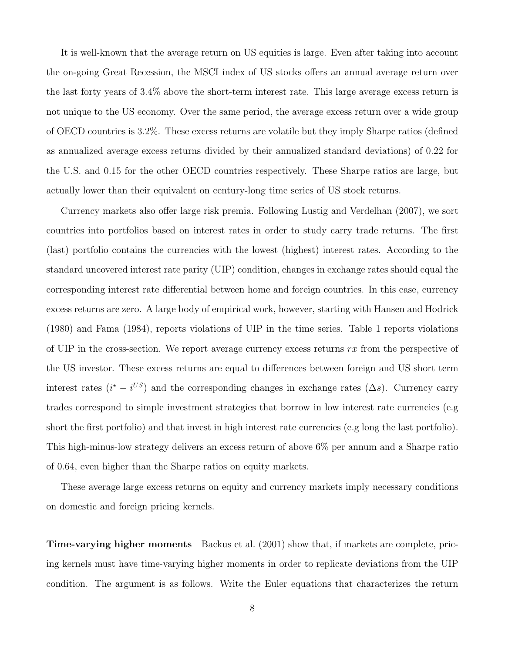It is well-known that the average return on US equities is large. Even after taking into account the on-going Great Recession, the MSCI index of US stocks offers an annual average return over the last forty years of 3.4% above the short-term interest rate. This large average excess return is not unique to the US economy. Over the same period, the average excess return over a wide group of OECD countries is 3.2%. These excess returns are volatile but they imply Sharpe ratios (defined as annualized average excess returns divided by their annualized standard deviations) of 0.22 for the U.S. and 0.15 for the other OECD countries respectively. These Sharpe ratios are large, but actually lower than their equivalent on century-long time series of US stock returns.

Currency markets also offer large risk premia. Following Lustig and Verdelhan (2007), we sort countries into portfolios based on interest rates in order to study carry trade returns. The first (last) portfolio contains the currencies with the lowest (highest) interest rates. According to the standard uncovered interest rate parity (UIP) condition, changes in exchange rates should equal the corresponding interest rate differential between home and foreign countries. In this case, currency excess returns are zero. A large body of empirical work, however, starting with Hansen and Hodrick (1980) and Fama (1984), reports violations of UIP in the time series. Table 1 reports violations of UIP in the cross-section. We report average currency excess returns  $rx$  from the perspective of the US investor. These excess returns are equal to differences between foreign and US short term interest rates  $(i^* - i^{US})$  and the corresponding changes in exchange rates  $(\Delta s)$ . Currency carry trades correspond to simple investment strategies that borrow in low interest rate currencies (e.g short the first portfolio) and that invest in high interest rate currencies (e.g long the last portfolio). This high-minus-low strategy delivers an excess return of above 6% per annum and a Sharpe ratio of 0.64, even higher than the Sharpe ratios on equity markets.

These average large excess returns on equity and currency markets imply necessary conditions on domestic and foreign pricing kernels.

Time-varying higher moments Backus et al. (2001) show that, if markets are complete, pricing kernels must have time-varying higher moments in order to replicate deviations from the UIP condition. The argument is as follows. Write the Euler equations that characterizes the return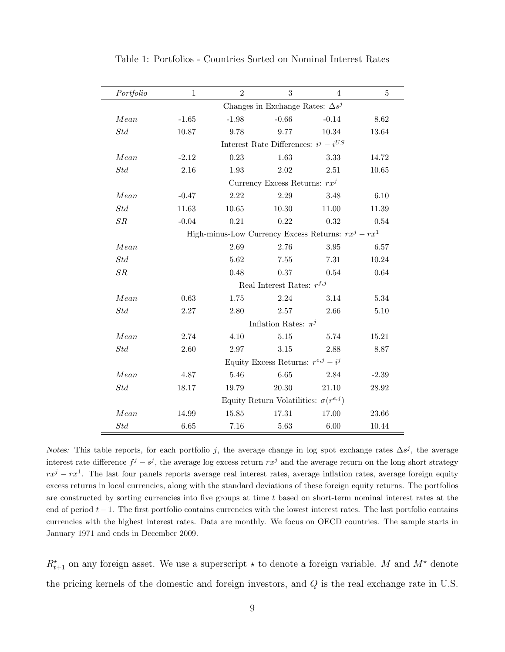| Portfolio   | $\mathbf{1}$                              | $\overline{2}$ | 3                                             | $\overline{4}$                                            | 5       |  |  |  |  |
|-------------|-------------------------------------------|----------------|-----------------------------------------------|-----------------------------------------------------------|---------|--|--|--|--|
|             |                                           |                | Changes in Exchange Rates: $\Delta s^j$       |                                                           |         |  |  |  |  |
| Mean        | $-1.65$                                   | $-1.98$        | $-0.66$                                       | $-0.14$                                                   | 8.62    |  |  |  |  |
| Std         | 10.87                                     | 9.78           | 9.77                                          | 10.34                                                     | 13.64   |  |  |  |  |
|             | Interest Rate Differences: $i^j - i^{US}$ |                |                                               |                                                           |         |  |  |  |  |
| Mean        | $-2.12$                                   | 0.23           | 1.63                                          | 3.33                                                      | 14.72   |  |  |  |  |
| $Std$       | 2.16                                      | 1.93           | 2.02                                          | 2.51                                                      | 10.65   |  |  |  |  |
|             |                                           |                | Currency Excess Returns: $rx^{j}$             |                                                           |         |  |  |  |  |
| Mean        | $-0.47$                                   | 2.22           | $2.29\,$                                      | 3.48                                                      | 6.10    |  |  |  |  |
| $Std$       | 11.63                                     | 10.65          | 10.30                                         | 11.00                                                     | 11.39   |  |  |  |  |
| SR          | $-0.04$                                   | 0.21           | 0.22                                          | 0.32                                                      | 0.54    |  |  |  |  |
|             |                                           |                |                                               | High-minus-Low Currency Excess Returns: $rx^{j} - rx^{1}$ |         |  |  |  |  |
| Mean        |                                           | 2.69           | 2.76                                          | 3.95                                                      | 6.57    |  |  |  |  |
| $Std$       |                                           | 5.62           | 7.55                                          | $7.31\,$                                                  | 10.24   |  |  |  |  |
| ${\cal SR}$ |                                           | 0.48           | 0.37                                          | $0.54\,$                                                  | 0.64    |  |  |  |  |
|             |                                           |                | Real Interest Rates: $r^{f,j}$                |                                                           |         |  |  |  |  |
| Mean        | 0.63                                      | 1.75           | 2.24                                          | 3.14                                                      | 5.34    |  |  |  |  |
| Std         | 2.27                                      | 2.80           | 2.57                                          | 2.66                                                      | 5.10    |  |  |  |  |
|             |                                           |                | Inflation Rates: $\pi^{j}$                    |                                                           |         |  |  |  |  |
| Mean        | 2.74                                      | 4.10           | 5.15                                          | 5.74                                                      | 15.21   |  |  |  |  |
| $Std$       | 2.60                                      | 2.97           | $3.15\,$                                      | 2.88                                                      | 8.87    |  |  |  |  |
|             |                                           |                | Equity Excess Returns: $r^{e,j} - i^j$        |                                                           |         |  |  |  |  |
| Mean        | 4.87                                      | 5.46           | 6.65                                          | 2.84                                                      | $-2.39$ |  |  |  |  |
| Std         | 18.17                                     | 19.79          | 20.30                                         | 21.10                                                     | 28.92   |  |  |  |  |
|             |                                           |                | Equity Return Volatilities: $\sigma(r^{e,j})$ |                                                           |         |  |  |  |  |
| Mean        | 14.99                                     | 15.85          | 17.31                                         | 17.00                                                     | 23.66   |  |  |  |  |
| $Std$       | 6.65                                      | 7.16           | 5.63                                          | 6.00                                                      | 10.44   |  |  |  |  |

Table 1: Portfolios - Countries Sorted on Nominal Interest Rates

Notes: This table reports, for each portfolio j, the average change in log spot exchange rates  $\Delta s^j$ , the average interest rate difference  $f^j - s^j$ , the average log excess return  $rx^j$  and the average return on the long short strategy  $rx^{j} - rx^{1}$ . The last four panels reports average real interest rates, average inflation rates, average foreign equity excess returns in local currencies, along with the standard deviations of these foreign equity returns. The portfolios are constructed by sorting currencies into five groups at time  $t$  based on short-term nominal interest rates at the end of period  $t - 1$ . The first portfolio contains currencies with the lowest interest rates. The last portfolio contains currencies with the highest interest rates. Data are monthly. We focus on OECD countries. The sample starts in January 1971 and ends in December 2009.

 $R_{t+1}^{\star}$  on any foreign asset. We use a superscript  $\star$  to denote a foreign variable. M and  $M^{\star}$  denote the pricing kernels of the domestic and foreign investors, and Q is the real exchange rate in U.S.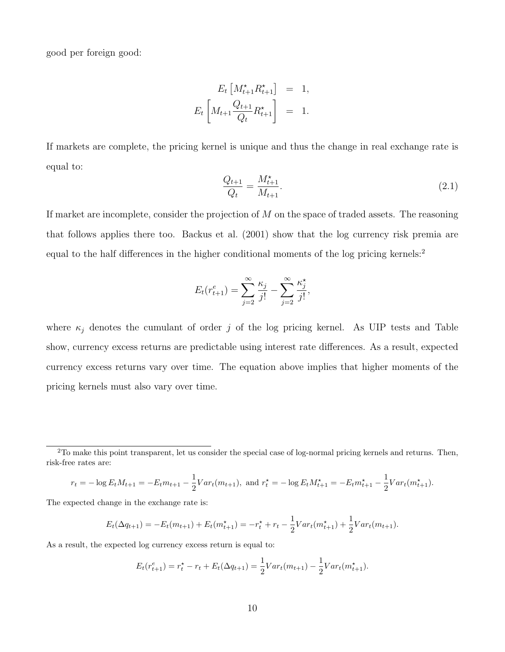good per foreign good:

$$
E_t \left[ M_{t+1}^{\star} R_{t+1}^{\star} \right] = 1,
$$
  

$$
E_t \left[ M_{t+1} \frac{Q_{t+1}}{Q_t} R_{t+1}^{\star} \right] = 1.
$$

If markets are complete, the pricing kernel is unique and thus the change in real exchange rate is equal to:

$$
\frac{Q_{t+1}}{Q_t} = \frac{M_{t+1}^{\star}}{M_{t+1}}.\tag{2.1}
$$

If market are incomplete, consider the projection of M on the space of traded assets. The reasoning that follows applies there too. Backus et al. (2001) show that the log currency risk premia are equal to the half differences in the higher conditional moments of the log pricing kernels:<sup>2</sup>

$$
E_t(r_{t+1}^e) = \sum_{j=2}^{\infty} \frac{\kappa_j}{j!} - \sum_{j=2}^{\infty} \frac{\kappa_j^*}{j!},
$$

where  $\kappa_i$  denotes the cumulant of order j of the log pricing kernel. As UIP tests and Table show, currency excess returns are predictable using interest rate differences. As a result, expected currency excess returns vary over time. The equation above implies that higher moments of the pricing kernels must also vary over time.

$$
r_t = -\log E_t M_{t+1} = -E_t m_{t+1} - \frac{1}{2} Var_t(m_{t+1}), \text{ and } r_t^* = -\log E_t M_{t+1}^* = -E_t m_{t+1}^* - \frac{1}{2} Var_t(m_{t+1}^*).
$$

The expected change in the exchange rate is:

$$
E_t(\Delta q_{t+1}) = -E_t(m_{t+1}) + E_t(m_{t+1}^*) = -r_t^* + r_t - \frac{1}{2}Var_t(m_{t+1}^*) + \frac{1}{2}Var_t(m_{t+1}).
$$

As a result, the expected log currency excess return is equal to:

$$
E_t(r_{t+1}^e) = r_t^* - r_t + E_t(\Delta q_{t+1}) = \frac{1}{2}Var_t(m_{t+1}) - \frac{1}{2}Var_t(m_{t+1}^*).
$$

<sup>2</sup>To make this point transparent, let us consider the special case of log-normal pricing kernels and returns. Then, risk-free rates are: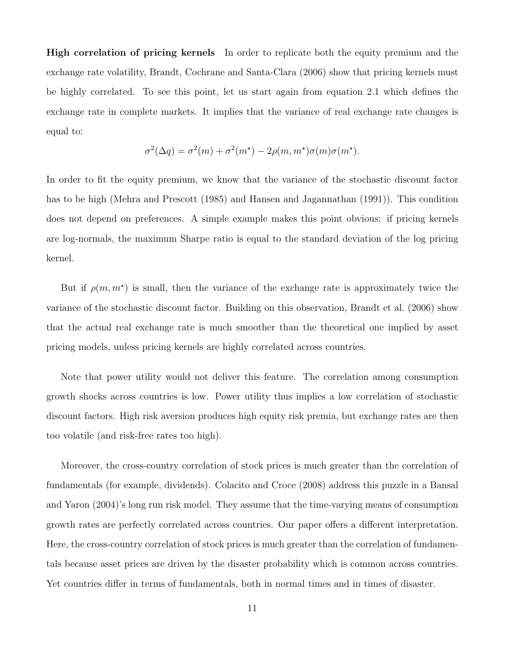High correlation of pricing kernels In order to replicate both the equity premium and the exchange rate volatility, Brandt, Cochrane and Santa-Clara (2006) show that pricing kernels must be highly correlated. To see this point, let us start again from equation 2.1 which defines the exchange rate in complete markets. It implies that the variance of real exchange rate changes is equal to:

$$
\sigma^{2}(\Delta q) = \sigma^{2}(m) + \sigma^{2}(m^{\star}) - 2\rho(m, m^{\star})\sigma(m)\sigma(m^{\star}).
$$

In order to fit the equity premium, we know that the variance of the stochastic discount factor has to be high (Mehra and Prescott (1985) and Hansen and Jagannathan (1991)). This condition does not depend on preferences. A simple example makes this point obvious: if pricing kernels are log-normals, the maximum Sharpe ratio is equal to the standard deviation of the log pricing kernel.

But if  $\rho(m, m^*)$  is small, then the variance of the exchange rate is approximately twice the variance of the stochastic discount factor. Building on this observation, Brandt et al. (2006) show that the actual real exchange rate is much smoother than the theoretical one implied by asset pricing models, unless pricing kernels are highly correlated across countries.

Note that power utility would not deliver this feature. The correlation among consumption growth shocks across countries is low. Power utility thus implies a low correlation of stochastic discount factors. High risk aversion produces high equity risk premia, but exchange rates are then too volatile (and risk-free rates too high).

Moreover, the cross-country correlation of stock prices is much greater than the correlation of fundamentals (for example, dividends). Colacito and Croce (2008) address this puzzle in a Bansal and Yaron (2004)'s long run risk model. They assume that the time-varying means of consumption growth rates are perfectly correlated across countries. Our paper offers a different interpretation. Here, the cross-country correlation of stock prices is much greater than the correlation of fundamentals because asset prices are driven by the disaster probability which is common across countries. Yet countries differ in terms of fundamentals, both in normal times and in times of disaster.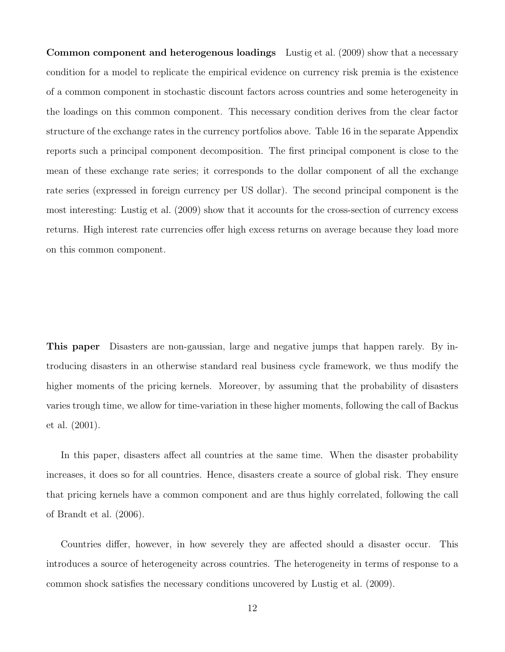Common component and heterogenous loadings Lustig et al. (2009) show that a necessary condition for a model to replicate the empirical evidence on currency risk premia is the existence of a common component in stochastic discount factors across countries and some heterogeneity in the loadings on this common component. This necessary condition derives from the clear factor structure of the exchange rates in the currency portfolios above. Table 16 in the separate Appendix reports such a principal component decomposition. The first principal component is close to the mean of these exchange rate series; it corresponds to the dollar component of all the exchange rate series (expressed in foreign currency per US dollar). The second principal component is the most interesting: Lustig et al. (2009) show that it accounts for the cross-section of currency excess returns. High interest rate currencies offer high excess returns on average because they load more on this common component.

This paper Disasters are non-gaussian, large and negative jumps that happen rarely. By introducing disasters in an otherwise standard real business cycle framework, we thus modify the higher moments of the pricing kernels. Moreover, by assuming that the probability of disasters varies trough time, we allow for time-variation in these higher moments, following the call of Backus et al. (2001).

In this paper, disasters affect all countries at the same time. When the disaster probability increases, it does so for all countries. Hence, disasters create a source of global risk. They ensure that pricing kernels have a common component and are thus highly correlated, following the call of Brandt et al. (2006).

Countries differ, however, in how severely they are affected should a disaster occur. This introduces a source of heterogeneity across countries. The heterogeneity in terms of response to a common shock satisfies the necessary conditions uncovered by Lustig et al. (2009).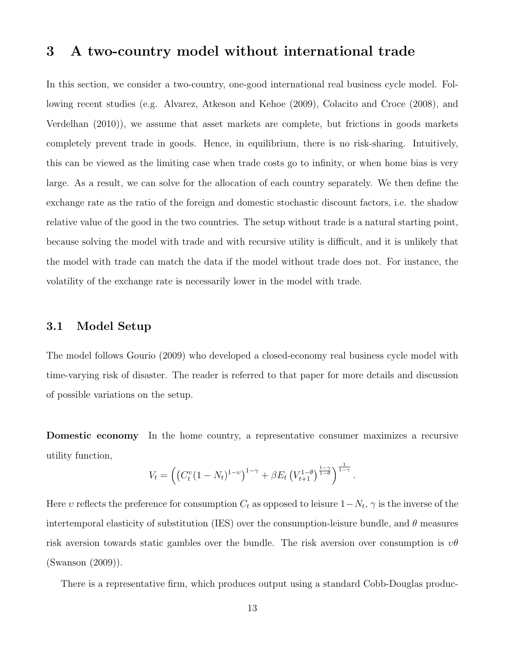## 3 A two-country model without international trade

In this section, we consider a two-country, one-good international real business cycle model. Following recent studies (e.g. Alvarez, Atkeson and Kehoe (2009), Colacito and Croce (2008), and Verdelhan (2010)), we assume that asset markets are complete, but frictions in goods markets completely prevent trade in goods. Hence, in equilibrium, there is no risk-sharing. Intuitively, this can be viewed as the limiting case when trade costs go to infinity, or when home bias is very large. As a result, we can solve for the allocation of each country separately. We then define the exchange rate as the ratio of the foreign and domestic stochastic discount factors, i.e. the shadow relative value of the good in the two countries. The setup without trade is a natural starting point, because solving the model with trade and with recursive utility is difficult, and it is unlikely that the model with trade can match the data if the model without trade does not. For instance, the volatility of the exchange rate is necessarily lower in the model with trade.

#### 3.1 Model Setup

The model follows Gourio (2009) who developed a closed-economy real business cycle model with time-varying risk of disaster. The reader is referred to that paper for more details and discussion of possible variations on the setup.

Domestic economy In the home country, a representative consumer maximizes a recursive utility function,

$$
V_t = \left( \left( C_t^v (1 - N_t)^{1-v} \right)^{1-\gamma} + \beta E_t \left( V_{t+1}^{1-\theta} \right)^{\frac{1-\gamma}{1-\theta}} \right)^{\frac{1}{1-\gamma}}.
$$

Here v reflects the preference for consumption  $C_t$  as opposed to leisure  $1-N_t$ ,  $\gamma$  is the inverse of the intertemporal elasticity of substitution (IES) over the consumption-leisure bundle, and  $\theta$  measures risk aversion towards static gambles over the bundle. The risk aversion over consumption is  $v\theta$ (Swanson (2009)).

There is a representative firm, which produces output using a standard Cobb-Douglas produc-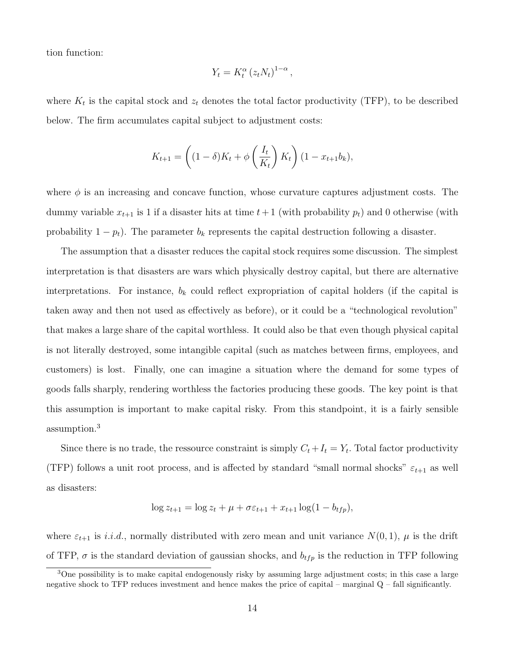tion function:

$$
Y_t = K_t^{\alpha} (z_t N_t)^{1-\alpha},
$$

where  $K_t$  is the capital stock and  $z_t$  denotes the total factor productivity (TFP), to be described below. The firm accumulates capital subject to adjustment costs:

$$
K_{t+1} = \left( (1 - \delta)K_t + \phi\left(\frac{I_t}{K_t}\right)K_t \right) (1 - x_{t+1}b_k),
$$

where  $\phi$  is an increasing and concave function, whose curvature captures adjustment costs. The dummy variable  $x_{t+1}$  is 1 if a disaster hits at time  $t+1$  (with probability  $p_t$ ) and 0 otherwise (with probability  $1 - p_t$ ). The parameter  $b_k$  represents the capital destruction following a disaster.

The assumption that a disaster reduces the capital stock requires some discussion. The simplest interpretation is that disasters are wars which physically destroy capital, but there are alternative interpretations. For instance,  $b_k$  could reflect expropriation of capital holders (if the capital is taken away and then not used as effectively as before), or it could be a "technological revolution" that makes a large share of the capital worthless. It could also be that even though physical capital is not literally destroyed, some intangible capital (such as matches between firms, employees, and customers) is lost. Finally, one can imagine a situation where the demand for some types of goods falls sharply, rendering worthless the factories producing these goods. The key point is that this assumption is important to make capital risky. From this standpoint, it is a fairly sensible assumption.<sup>3</sup>

Since there is no trade, the ressource constraint is simply  $C_t + I_t = Y_t$ . Total factor productivity (TFP) follows a unit root process, and is affected by standard "small normal shocks"  $\varepsilon_{t+1}$  as well as disasters:

$$
\log z_{t+1} = \log z_t + \mu + \sigma \varepsilon_{t+1} + x_{t+1} \log(1 - b_{tfp}),
$$

where  $\varepsilon_{t+1}$  is i.i.d., normally distributed with zero mean and unit variance  $N(0, 1)$ ,  $\mu$  is the drift of TFP,  $\sigma$  is the standard deviation of gaussian shocks, and  $b_{tfp}$  is the reduction in TFP following

<sup>3</sup>One possibility is to make capital endogenously risky by assuming large adjustment costs; in this case a large negative shock to TFP reduces investment and hence makes the price of capital – marginal Q – fall significantly.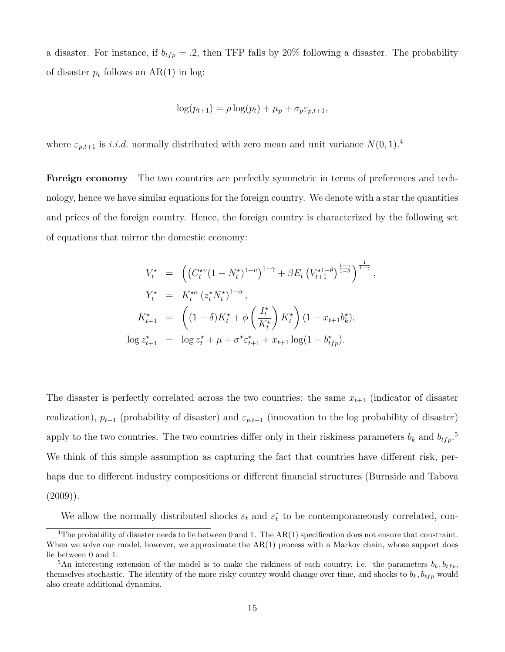a disaster. For instance, if  $b_{tfp} = .2$ , then TFP falls by 20% following a disaster. The probability of disaster  $p_t$  follows an AR(1) in log:

$$
\log(p_{t+1}) = \rho \log(p_t) + \mu_p + \sigma_p \varepsilon_{p,t+1},
$$

where  $\varepsilon_{p,t+1}$  is *i.i.d.* normally distributed with zero mean and unit variance  $N(0, 1)$ .<sup>4</sup>

Foreign economy The two countries are perfectly symmetric in terms of preferences and technology, hence we have similar equations for the foreign country. We denote with a star the quantities and prices of the foreign country. Hence, the foreign country is characterized by the following set of equations that mirror the domestic economy:

$$
V_t^* = \left( \left( C_t^{*v} (1 - N_t^*)^{1-v} \right)^{1-\gamma} + \beta E_t \left( V_{t+1}^{*1-\theta} \right)^{\frac{1-\gamma}{1-\theta}}, \right.
$$
  
\n
$$
Y_t^* = K_t^{*\alpha} (z_t^* N_t^*)^{1-\alpha},
$$
  
\n
$$
K_{t+1}^* = \left( (1 - \delta) K_t^* + \phi \left( \frac{I_t^*}{K_t^*} \right) K_t^* \right) (1 - x_{t+1} b_k^*),
$$
  
\n
$$
\log z_{t+1}^* = \log z_t^* + \mu + \sigma^* \varepsilon_{t+1}^* + x_{t+1} \log(1 - b_{tfp}^*).
$$

The disaster is perfectly correlated across the two countries: the same  $x_{t+1}$  (indicator of disaster realization),  $p_{t+1}$  (probability of disaster) and  $\varepsilon_{p,t+1}$  (innovation to the log probability of disaster) apply to the two countries. The two countries differ only in their riskiness parameters  $b_k$  and  $b_{tfp}$ .<sup>5</sup> We think of this simple assumption as capturing the fact that countries have different risk, perhaps due to different industry compositions or different financial structures (Burnside and Tabova  $(2009)$ ).

We allow the normally distributed shocks  $\varepsilon_t$  and  $\varepsilon_t^*$  to be contemporaneously correlated, con-

<sup>&</sup>lt;sup>4</sup>The probability of disaster needs to lie between 0 and 1. The  $AR(1)$  specification does not ensure that constraint. When we solve our model, however, we approximate the  $AR(1)$  process with a Markov chain, whose support does lie between 0 and 1.

<sup>&</sup>lt;sup>5</sup>An interesting extension of the model is to make the riskiness of each country, i.e. the parameters  $b_k$ ,  $b_{tfp}$ , themselves stochastic. The identity of the more risky country would change over time, and shocks to  $b_k$ ,  $b_{tfp}$  would also create additional dynamics.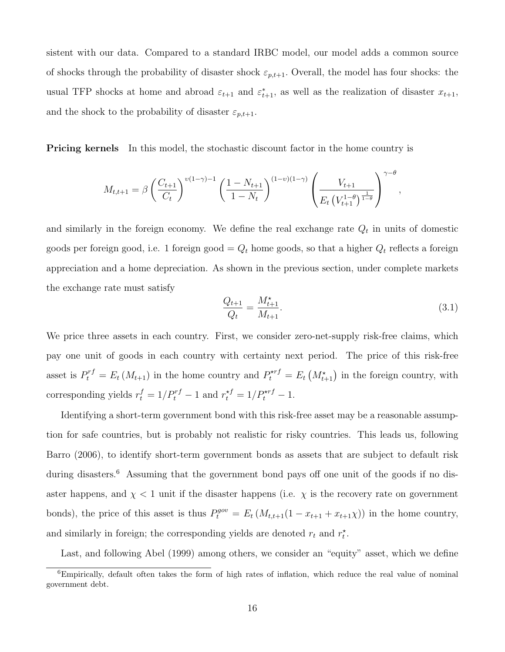sistent with our data. Compared to a standard IRBC model, our model adds a common source of shocks through the probability of disaster shock  $\varepsilon_{p,t+1}$ . Overall, the model has four shocks: the usual TFP shocks at home and abroad  $\varepsilon_{t+1}$  and  $\varepsilon_{t+1}^*$ , as well as the realization of disaster  $x_{t+1}$ , and the shock to the probability of disaster  $\varepsilon_{p,t+1}$ .

**Pricing kernels** In this model, the stochastic discount factor in the home country is

$$
M_{t,t+1} = \beta \left(\frac{C_{t+1}}{C_t}\right)^{\nu(1-\gamma)-1} \left(\frac{1-N_{t+1}}{1-N_t}\right)^{(1-\nu)(1-\gamma)} \left(\frac{V_{t+1}}{E_t\left(V_{t+1}^{1-\theta}\right)^{\frac{1}{1-\theta}}}\right)^{\gamma-\theta},
$$

and similarly in the foreign economy. We define the real exchange rate  $Q_t$  in units of domestic goods per foreign good, i.e. 1 foreign good =  $Q_t$  home goods, so that a higher  $Q_t$  reflects a foreign appreciation and a home depreciation. As shown in the previous section, under complete markets the exchange rate must satisfy

$$
\frac{Q_{t+1}}{Q_t} = \frac{M_{t+1}^{\star}}{M_{t+1}}.\tag{3.1}
$$

We price three assets in each country. First, we consider zero-net-supply risk-free claims, which pay one unit of goods in each country with certainty next period. The price of this risk-free asset is  $P_t^{rf} = E_t(M_{t+1})$  in the home country and  $P_t^{\star rf} = E_t(M_{t+1}^{\star})$  in the foreign country, with corresponding yields  $r_t^f = 1/P_t^{rf} - 1$  and  $r_t^{*f} = 1/P_t^{*rf} - 1$ .

Identifying a short-term government bond with this risk-free asset may be a reasonable assumption for safe countries, but is probably not realistic for risky countries. This leads us, following Barro (2006), to identify short-term government bonds as assets that are subject to default risk during disasters.<sup>6</sup> Assuming that the government bond pays off one unit of the goods if no disaster happens, and  $\chi$  < 1 unit if the disaster happens (i.e.  $\chi$  is the recovery rate on government bonds), the price of this asset is thus  $P_t^{gov} = E_t (M_{t,t+1}(1 - x_{t+1} + x_{t+1}\chi))$  in the home country, and similarly in foreign; the corresponding yields are denoted  $r_t$  and  $r_t^*$ .

Last, and following Abel (1999) among others, we consider an "equity" asset, which we define

<sup>6</sup>Empirically, default often takes the form of high rates of inflation, which reduce the real value of nominal government debt.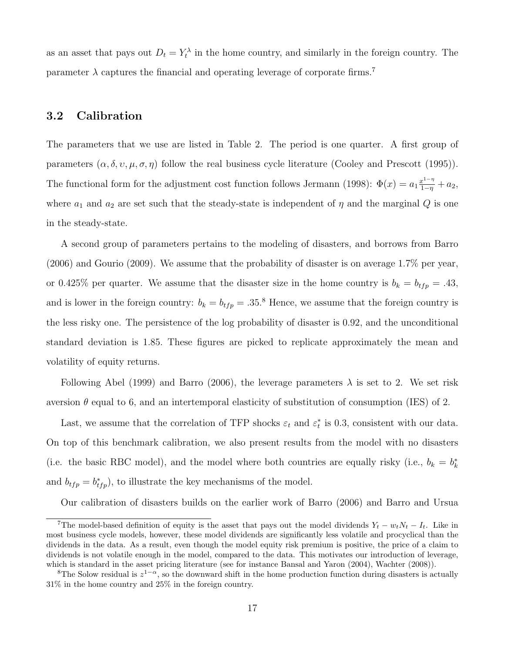as an asset that pays out  $D_t = Y_t^{\lambda}$  in the home country, and similarly in the foreign country. The parameter  $\lambda$  captures the financial and operating leverage of corporate firms.<sup>7</sup>

#### 3.2 Calibration

The parameters that we use are listed in Table 2. The period is one quarter. A first group of parameters  $(\alpha, \delta, \nu, \mu, \sigma, \eta)$  follow the real business cycle literature (Cooley and Prescott (1995)). The functional form for the adjustment cost function follows Jermann (1998):  $\Phi(x) = a_1 \frac{x^{1-\eta}}{1-\eta} + a_2$ , where  $a_1$  and  $a_2$  are set such that the steady-state is independent of  $\eta$  and the marginal Q is one in the steady-state.

A second group of parameters pertains to the modeling of disasters, and borrows from Barro (2006) and Gourio (2009). We assume that the probability of disaster is on average 1.7% per year, or 0.425% per quarter. We assume that the disaster size in the home country is  $b_k = b_{tfp} = .43$ , and is lower in the foreign country:  $b_k = b_{tfp} = .35$ .<sup>8</sup> Hence, we assume that the foreign country is the less risky one. The persistence of the log probability of disaster is 0.92, and the unconditional standard deviation is 1.85. These figures are picked to replicate approximately the mean and volatility of equity returns.

Following Abel (1999) and Barro (2006), the leverage parameters  $\lambda$  is set to 2. We set risk aversion  $\theta$  equal to 6, and an intertemporal elasticity of substitution of consumption (IES) of 2.

Last, we assume that the correlation of TFP shocks  $\varepsilon_t$  and  $\varepsilon_t^*$  is 0.3, consistent with our data. On top of this benchmark calibration, we also present results from the model with no disasters (i.e. the basic RBC model), and the model where both countries are equally risky (i.e.,  $b_k = b_k^*$ ) and  $b_{tfp} = b_{tfp}^*$ , to illustrate the key mechanisms of the model.

Our calibration of disasters builds on the earlier work of Barro (2006) and Barro and Ursua

<sup>&</sup>lt;sup>7</sup>The model-based definition of equity is the asset that pays out the model dividends  $Y_t - w_t N_t - I_t$ . Like in most business cycle models, however, these model dividends are significantly less volatile and procyclical than the dividends in the data. As a result, even though the model equity risk premium is positive, the price of a claim to dividends is not volatile enough in the model, compared to the data. This motivates our introduction of leverage, which is standard in the asset pricing literature (see for instance Bansal and Yaron (2004), Wachter (2008)).

<sup>&</sup>lt;sup>8</sup>The Solow residual is  $z^{1-\alpha}$ , so the downward shift in the home production function during disasters is actually 31% in the home country and 25% in the foreign country.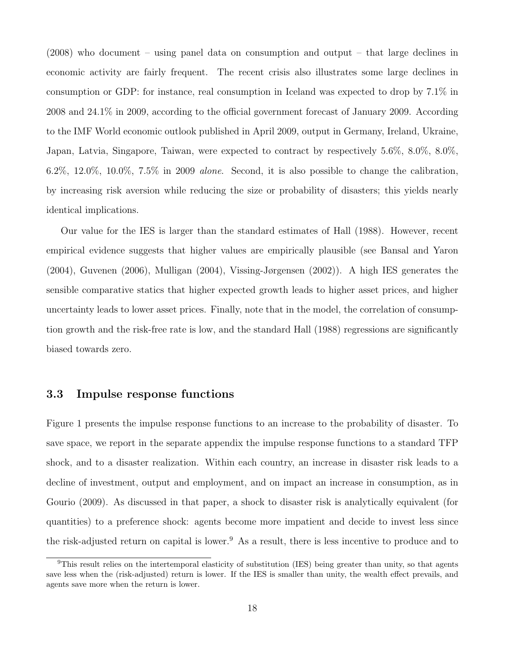(2008) who document – using panel data on consumption and output – that large declines in economic activity are fairly frequent. The recent crisis also illustrates some large declines in consumption or GDP: for instance, real consumption in Iceland was expected to drop by 7.1% in 2008 and 24.1% in 2009, according to the official government forecast of January 2009. According to the IMF World economic outlook published in April 2009, output in Germany, Ireland, Ukraine, Japan, Latvia, Singapore, Taiwan, were expected to contract by respectively 5.6%, 8.0%, 8.0%, 6.2%, 12.0%, 10.0%, 7.5% in 2009 *alone*. Second, it is also possible to change the calibration, by increasing risk aversion while reducing the size or probability of disasters; this yields nearly identical implications.

Our value for the IES is larger than the standard estimates of Hall (1988). However, recent empirical evidence suggests that higher values are empirically plausible (see Bansal and Yaron (2004), Guvenen (2006), Mulligan (2004), Vissing-Jørgensen (2002)). A high IES generates the sensible comparative statics that higher expected growth leads to higher asset prices, and higher uncertainty leads to lower asset prices. Finally, note that in the model, the correlation of consumption growth and the risk-free rate is low, and the standard Hall (1988) regressions are significantly biased towards zero.

#### 3.3 Impulse response functions

Figure 1 presents the impulse response functions to an increase to the probability of disaster. To save space, we report in the separate appendix the impulse response functions to a standard TFP shock, and to a disaster realization. Within each country, an increase in disaster risk leads to a decline of investment, output and employment, and on impact an increase in consumption, as in Gourio (2009). As discussed in that paper, a shock to disaster risk is analytically equivalent (for quantities) to a preference shock: agents become more impatient and decide to invest less since the risk-adjusted return on capital is lower.<sup>9</sup> As a result, there is less incentive to produce and to

<sup>&</sup>lt;sup>9</sup>This result relies on the intertemporal elasticity of substitution (IES) being greater than unity, so that agents save less when the (risk-adjusted) return is lower. If the IES is smaller than unity, the wealth effect prevails, and agents save more when the return is lower.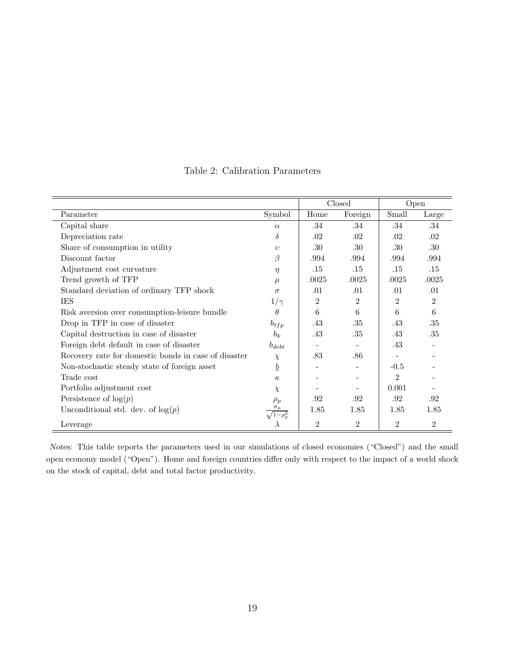|                                                      |                 |                | Closed         | Open           |                |
|------------------------------------------------------|-----------------|----------------|----------------|----------------|----------------|
| Parameter                                            | Symbol          | Home           | Foreign        | Small          | Large          |
| Capital share                                        | $\alpha$        | .34            | .34            | .34            | .34            |
| Depreciation rate                                    | $\delta$        | .02            | .02            | .02            | .02            |
| Share of consumption in utility                      | $\upsilon$      | .30            | .30            | .30            | .30            |
| Discount factor                                      | β               | .994           | .994           | .994           | .994           |
| Adjustment cost curvature                            | $\eta$          | .15            | .15            | .15            | .15            |
| Trend growth of TFP                                  | $\mu$           | .0025          | .0025          | .0025          | .0025          |
| Standard deviation of ordinary TFP shock             | $\sigma$        | .01            | .01            | .01            | .01            |
| IES                                                  | $1/\gamma$      | $\overline{2}$ | $\overline{2}$ | $\overline{2}$ | $\overline{2}$ |
| Risk aversion over consumption-leisure bundle        | $\theta$        | 6              | 6              | 6              | 6              |
| Drop in TFP in case of disaster                      | $b_{tfp}$       | .43            | .35            | .43            | .35            |
| Capital destruction in case of disaster              | $b_k$           | .43            | .35            | .43            | .35            |
| Foreign debt default in case of disaster             | $b_{debt}$      |                |                | .43            |                |
| Recovery rate for domestic bonds in case of disaster | $\chi$          | .83            | .86            |                |                |
| Non-stochastic steady state of foreign asset         | $\underline{b}$ |                |                | $-0.5$         |                |
| Trade cost                                           | $\kappa$        |                |                | $\overline{2}$ |                |
| Portfolio adjustment cost                            | $\chi$          |                |                | 0.001          |                |
| Persistence of $log(p)$                              | $\rho_p$        | .92            | .92            | .92            | .92            |
| Unconditional std. dev. of $log(p)$                  |                 | 1.85           | 1.85           | 1.85           | 1.85           |
| Leverage                                             |                 | $\overline{2}$ | $\overline{2}$ | $\overline{2}$ | $\overline{2}$ |

Table 2: Calibration Parameters

Notes: This table reports the parameters used in our simulations of closed economies ("Closed") and the small open economy model ("Open"). Home and foreign countries differ only with respect to the impact of a world shock on the stock of capital, debt and total factor productivity.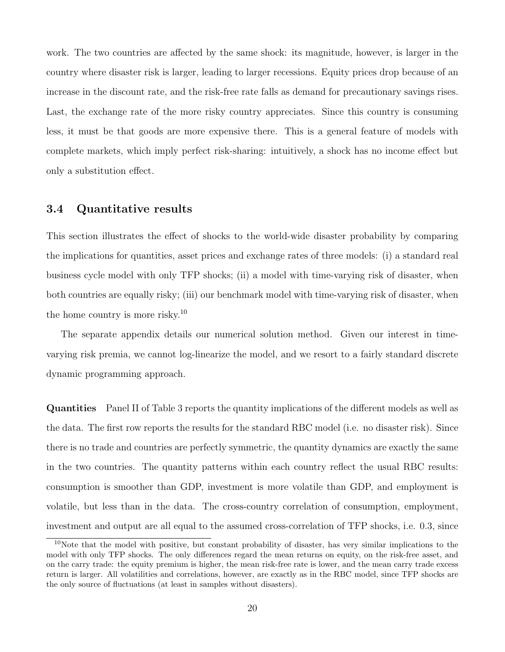work. The two countries are affected by the same shock: its magnitude, however, is larger in the country where disaster risk is larger, leading to larger recessions. Equity prices drop because of an increase in the discount rate, and the risk-free rate falls as demand for precautionary savings rises. Last, the exchange rate of the more risky country appreciates. Since this country is consuming less, it must be that goods are more expensive there. This is a general feature of models with complete markets, which imply perfect risk-sharing: intuitively, a shock has no income effect but only a substitution effect.

#### 3.4 Quantitative results

This section illustrates the effect of shocks to the world-wide disaster probability by comparing the implications for quantities, asset prices and exchange rates of three models: (i) a standard real business cycle model with only TFP shocks; (ii) a model with time-varying risk of disaster, when both countries are equally risky; (iii) our benchmark model with time-varying risk of disaster, when the home country is more risky.<sup>10</sup>

The separate appendix details our numerical solution method. Given our interest in timevarying risk premia, we cannot log-linearize the model, and we resort to a fairly standard discrete dynamic programming approach.

Quantities Panel II of Table 3 reports the quantity implications of the different models as well as the data. The first row reports the results for the standard RBC model (i.e. no disaster risk). Since there is no trade and countries are perfectly symmetric, the quantity dynamics are exactly the same in the two countries. The quantity patterns within each country reflect the usual RBC results: consumption is smoother than GDP, investment is more volatile than GDP, and employment is volatile, but less than in the data. The cross-country correlation of consumption, employment, investment and output are all equal to the assumed cross-correlation of TFP shocks, i.e. 0.3, since

<sup>10</sup>Note that the model with positive, but constant probability of disaster, has very similar implications to the model with only TFP shocks. The only differences regard the mean returns on equity, on the risk-free asset, and on the carry trade: the equity premium is higher, the mean risk-free rate is lower, and the mean carry trade excess return is larger. All volatilities and correlations, however, are exactly as in the RBC model, since TFP shocks are the only source of fluctuations (at least in samples without disasters).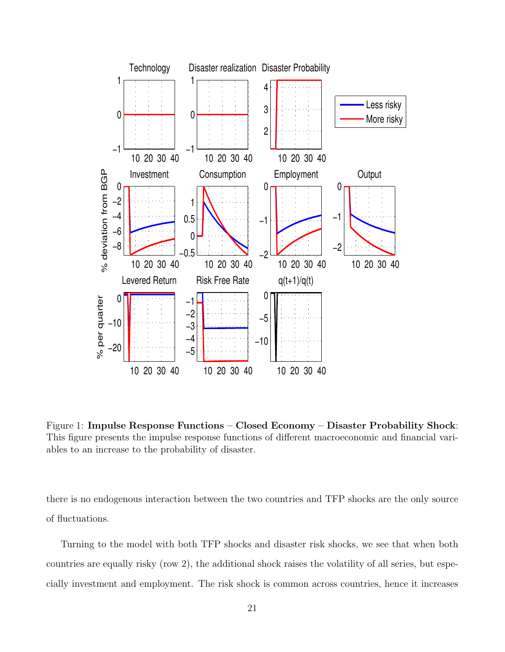

Figure 1: Impulse Response Functions – Closed Economy – Disaster Probability Shock: This figure presents the impulse response functions of different macroeconomic and financial variables to an increase to the probability of disaster.

there is no endogenous interaction between the two countries and TFP shocks are the only source of fluctuations.

Turning to the model with both TFP shocks and disaster risk shocks, we see that when both countries are equally risky (row 2), the additional shock raises the volatility of all series, but especially investment and employment. The risk shock is common across countries, hence it increases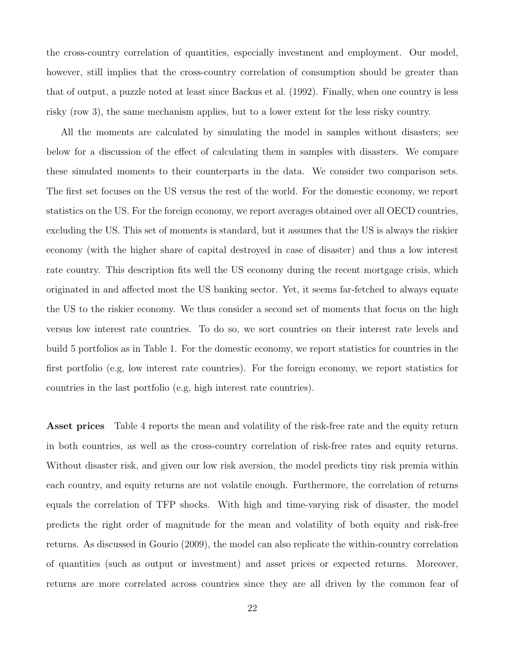the cross-country correlation of quantities, especially investment and employment. Our model, however, still implies that the cross-country correlation of consumption should be greater than that of output, a puzzle noted at least since Backus et al. (1992). Finally, when one country is less risky (row 3), the same mechanism applies, but to a lower extent for the less risky country.

All the moments are calculated by simulating the model in samples without disasters; see below for a discussion of the effect of calculating them in samples with disasters. We compare these simulated moments to their counterparts in the data. We consider two comparison sets. The first set focuses on the US versus the rest of the world. For the domestic economy, we report statistics on the US. For the foreign economy, we report averages obtained over all OECD countries, excluding the US. This set of moments is standard, but it assumes that the US is always the riskier economy (with the higher share of capital destroyed in case of disaster) and thus a low interest rate country. This description fits well the US economy during the recent mortgage crisis, which originated in and affected most the US banking sector. Yet, it seems far-fetched to always equate the US to the riskier economy. We thus consider a second set of moments that focus on the high versus low interest rate countries. To do so, we sort countries on their interest rate levels and build 5 portfolios as in Table 1. For the domestic economy, we report statistics for countries in the first portfolio (e.g, low interest rate countries). For the foreign economy, we report statistics for countries in the last portfolio (e.g, high interest rate countries).

Asset prices Table 4 reports the mean and volatility of the risk-free rate and the equity return in both countries, as well as the cross-country correlation of risk-free rates and equity returns. Without disaster risk, and given our low risk aversion, the model predicts tiny risk premia within each country, and equity returns are not volatile enough. Furthermore, the correlation of returns equals the correlation of TFP shocks. With high and time-varying risk of disaster, the model predicts the right order of magnitude for the mean and volatility of both equity and risk-free returns. As discussed in Gourio (2009), the model can also replicate the within-country correlation of quantities (such as output or investment) and asset prices or expected returns. Moreover, returns are more correlated across countries since they are all driven by the common fear of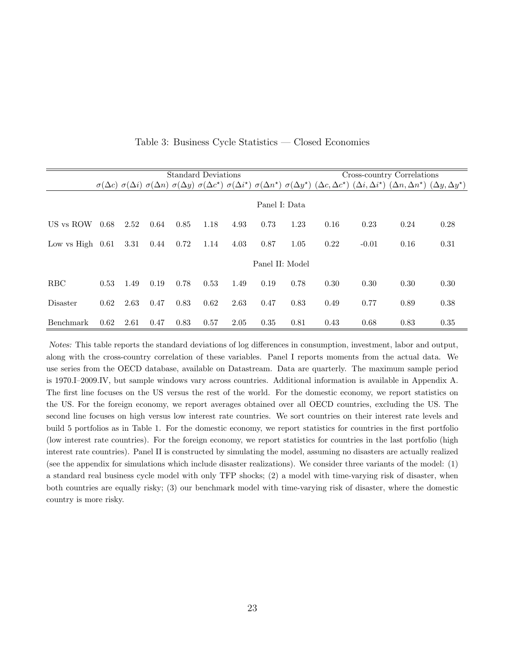|                    |      |      |      |      | <b>Standard Deviations</b> |      |                 |      |      |         | Cross-country Correlations                                                                                                                                                                                                                                          |      |
|--------------------|------|------|------|------|----------------------------|------|-----------------|------|------|---------|---------------------------------------------------------------------------------------------------------------------------------------------------------------------------------------------------------------------------------------------------------------------|------|
|                    |      |      |      |      |                            |      |                 |      |      |         | $\sigma(\Delta c)$ $\sigma(\Delta i)$ $\sigma(\Delta n)$ $\sigma(\Delta y)$ $\sigma(\Delta c^*)$ $\sigma(\Delta i^*)$ $\sigma(\Delta n^*)$ $\sigma(\Delta y^*)$ $(\Delta c, \Delta c^*)$ $(\Delta i, \Delta i^*)$ $(\Delta n, \Delta n^*)$ $(\Delta y, \Delta y^*)$ |      |
|                    |      |      |      |      |                            |      | Panel I: Data   |      |      |         |                                                                                                                                                                                                                                                                     |      |
| US vs ROW          | 0.68 | 2.52 | 0.64 | 0.85 | 1.18                       | 4.93 | 0.73            | 1.23 | 0.16 | 0.23    | 0.24                                                                                                                                                                                                                                                                | 0.28 |
| Low vs High $0.61$ |      | 3.31 | 0.44 | 0.72 | 1.14                       | 4.03 | 0.87            | 1.05 | 0.22 | $-0.01$ | 0.16                                                                                                                                                                                                                                                                | 0.31 |
|                    |      |      |      |      |                            |      | Panel II: Model |      |      |         |                                                                                                                                                                                                                                                                     |      |
| <b>RBC</b>         | 0.53 | 1.49 | 0.19 | 0.78 | 0.53                       | 1.49 | 0.19            | 0.78 | 0.30 | 0.30    | 0.30                                                                                                                                                                                                                                                                | 0.30 |
| Disaster           | 0.62 | 2.63 | 0.47 | 0.83 | 0.62                       | 2.63 | 0.47            | 0.83 | 0.49 | 0.77    | 0.89                                                                                                                                                                                                                                                                | 0.38 |
| Benchmark          | 0.62 | 2.61 | 0.47 | 0.83 | 0.57                       | 2.05 | 0.35            | 0.81 | 0.43 | 0.68    | 0.83                                                                                                                                                                                                                                                                | 0.35 |

Table 3: Business Cycle Statistics — Closed Economies

Notes: This table reports the standard deviations of log differences in consumption, investment, labor and output, along with the cross-country correlation of these variables. Panel I reports moments from the actual data. We use series from the OECD database, available on Datastream. Data are quarterly. The maximum sample period is 1970.I–2009.IV, but sample windows vary across countries. Additional information is available in Appendix A. The first line focuses on the US versus the rest of the world. For the domestic economy, we report statistics on the US. For the foreign economy, we report averages obtained over all OECD countries, excluding the US. The second line focuses on high versus low interest rate countries. We sort countries on their interest rate levels and build 5 portfolios as in Table 1. For the domestic economy, we report statistics for countries in the first portfolio (low interest rate countries). For the foreign economy, we report statistics for countries in the last portfolio (high interest rate countries). Panel II is constructed by simulating the model, assuming no disasters are actually realized (see the appendix for simulations which include disaster realizations). We consider three variants of the model: (1) a standard real business cycle model with only TFP shocks; (2) a model with time-varying risk of disaster, when both countries are equally risky; (3) our benchmark model with time-varying risk of disaster, where the domestic country is more risky.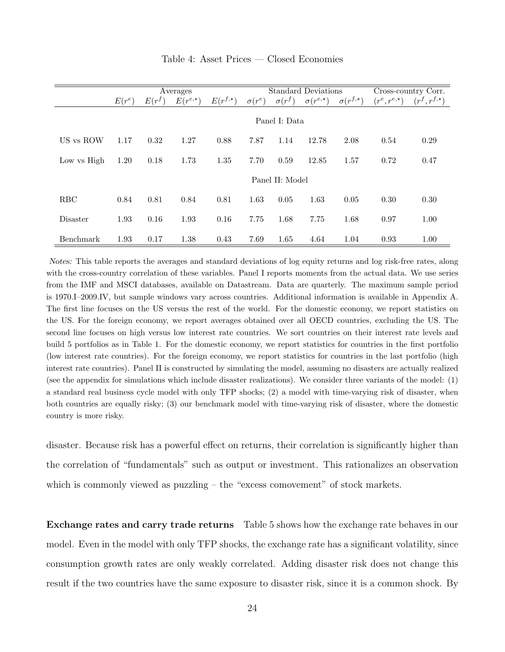|                 |               |          | Averages         |              |               | <b>Standard Deviations</b> |                       |                   |                       | Cross-country Corr.   |  |
|-----------------|---------------|----------|------------------|--------------|---------------|----------------------------|-----------------------|-------------------|-----------------------|-----------------------|--|
|                 | $E(r^e)$      | $E(r^f)$ | $E(r^{e,\star})$ | $E(r^{f,*})$ | $\sigma(r^e)$ | $\sigma(r^f)$              | $\sigma(r^{e,\star})$ | $\sigma(r^{f,*})$ | $(r^e, r^{e, \star})$ | $(r^f, r^{f, \star})$ |  |
|                 | Panel I: Data |          |                  |              |               |                            |                       |                   |                       |                       |  |
| US vs ROW       | 1.17          | 0.32     | 1.27             | 0.88         | 7.87          | 1.14                       | 12.78                 | 2.08              | 0.54                  | 0.29                  |  |
| Low vs High     | 1.20          | 0.18     | 1.73             | 1.35         | 7.70          | 0.59                       | 12.85                 | 1.57              | 0.72                  | 0.47                  |  |
|                 |               |          |                  |              |               | Panel II: Model            |                       |                   |                       |                       |  |
| <b>RBC</b>      | 0.84          | 0.81     | 0.84             | 0.81         | 1.63          | 0.05                       | 1.63                  | 0.05              | 0.30                  | 0.30                  |  |
| <b>Disaster</b> | 1.93          | 0.16     | 1.93             | 0.16         | 7.75          | 1.68                       | 7.75                  | 1.68              | 0.97                  | 1.00                  |  |
| Benchmark       | 1.93          | 0.17     | 1.38             | 0.43         | 7.69          | 1.65                       | 4.64                  | 1.04              | 0.93                  | 1.00                  |  |

Table 4: Asset Prices — Closed Economies

Notes: This table reports the averages and standard deviations of log equity returns and log risk-free rates, along with the cross-country correlation of these variables. Panel I reports moments from the actual data. We use series from the IMF and MSCI databases, available on Datastream. Data are quarterly. The maximum sample period is 1970.I–2009.IV, but sample windows vary across countries. Additional information is available in Appendix A. The first line focuses on the US versus the rest of the world. For the domestic economy, we report statistics on the US. For the foreign economy, we report averages obtained over all OECD countries, excluding the US. The second line focuses on high versus low interest rate countries. We sort countries on their interest rate levels and build 5 portfolios as in Table 1. For the domestic economy, we report statistics for countries in the first portfolio (low interest rate countries). For the foreign economy, we report statistics for countries in the last portfolio (high interest rate countries). Panel II is constructed by simulating the model, assuming no disasters are actually realized (see the appendix for simulations which include disaster realizations). We consider three variants of the model: (1) a standard real business cycle model with only TFP shocks; (2) a model with time-varying risk of disaster, when both countries are equally risky; (3) our benchmark model with time-varying risk of disaster, where the domestic country is more risky.

disaster. Because risk has a powerful effect on returns, their correlation is significantly higher than the correlation of "fundamentals" such as output or investment. This rationalizes an observation which is commonly viewed as puzzling – the "excess comovement" of stock markets.

Exchange rates and carry trade returns Table 5 shows how the exchange rate behaves in our model. Even in the model with only TFP shocks, the exchange rate has a significant volatility, since consumption growth rates are only weakly correlated. Adding disaster risk does not change this result if the two countries have the same exposure to disaster risk, since it is a common shock. By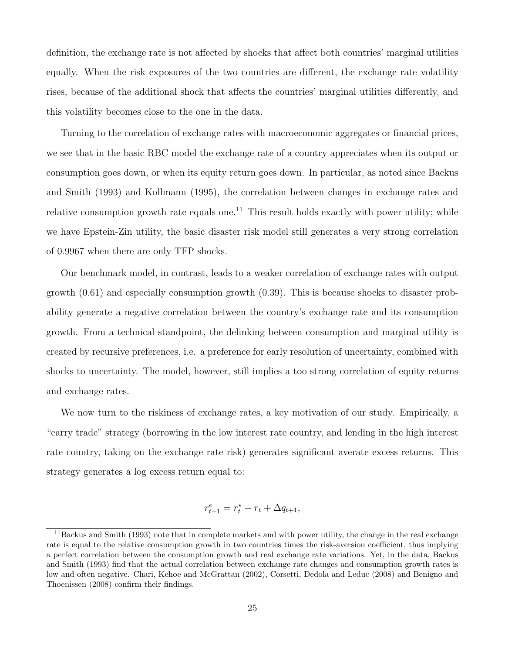definition, the exchange rate is not affected by shocks that affect both countries' marginal utilities equally. When the risk exposures of the two countries are different, the exchange rate volatility rises, because of the additional shock that affects the countries' marginal utilities differently, and this volatility becomes close to the one in the data.

Turning to the correlation of exchange rates with macroeconomic aggregates or financial prices, we see that in the basic RBC model the exchange rate of a country appreciates when its output or consumption goes down, or when its equity return goes down. In particular, as noted since Backus and Smith (1993) and Kollmann (1995), the correlation between changes in exchange rates and relative consumption growth rate equals one.<sup>11</sup> This result holds exactly with power utility; while we have Epstein-Zin utility, the basic disaster risk model still generates a very strong correlation of 0.9967 when there are only TFP shocks.

Our benchmark model, in contrast, leads to a weaker correlation of exchange rates with output growth (0.61) and especially consumption growth (0.39). This is because shocks to disaster probability generate a negative correlation between the country's exchange rate and its consumption growth. From a technical standpoint, the delinking between consumption and marginal utility is created by recursive preferences, i.e. a preference for early resolution of uncertainty, combined with shocks to uncertainty. The model, however, still implies a too strong correlation of equity returns and exchange rates.

We now turn to the riskiness of exchange rates, a key motivation of our study. Empirically, a "carry trade" strategy (borrowing in the low interest rate country, and lending in the high interest rate country, taking on the exchange rate risk) generates significant averate excess returns. This strategy generates a log excess return equal to:

$$
r_{t+1}^e = r_t^* - r_t + \Delta q_{t+1},
$$

<sup>&</sup>lt;sup>11</sup>Backus and Smith (1993) note that in complete markets and with power utility, the change in the real exchange rate is equal to the relative consumption growth in two countries times the risk-aversion coefficient, thus implying a perfect correlation between the consumption growth and real exchange rate variations. Yet, in the data, Backus and Smith (1993) find that the actual correlation between exchange rate changes and consumption growth rates is low and often negative. Chari, Kehoe and McGrattan (2002), Corsetti, Dedola and Leduc (2008) and Benigno and Thoenissen (2008) confirm their findings.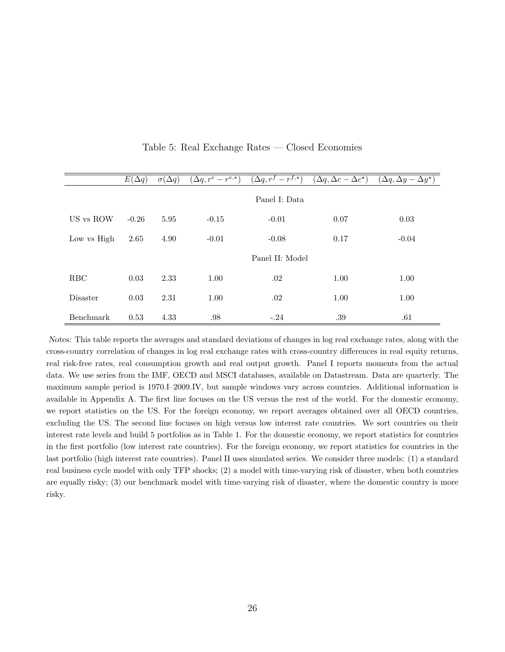|             | $E(\Delta q)$ | $\overline{\sigma(\Delta q)}$ | $(\Delta q, r^e-r^{e,\star})$ | $(\Delta q, r^f - r^{f,\star})$ | $(\Delta q, \Delta c - \Delta c^*)$ | $(\Delta q, \Delta y - \Delta y^*)$ |
|-------------|---------------|-------------------------------|-------------------------------|---------------------------------|-------------------------------------|-------------------------------------|
|             |               |                               |                               | Panel I: Data                   |                                     |                                     |
| US vs ROW   | $-0.26$       | 5.95                          | $-0.15$                       | $-0.01$                         | 0.07                                | 0.03                                |
| Low vs High | 2.65          | 4.90                          | $-0.01$                       | $-0.08$                         | 0.17                                | $-0.04$                             |
|             |               |                               |                               | Panel II: Model                 |                                     |                                     |
| RBC         | 0.03          | 2.33                          | 1.00                          | .02                             | 1.00                                | 1.00                                |
| Disaster    | 0.03          | 2.31                          | 1.00                          | .02                             | 1.00                                | 1.00                                |
| Benchmark   | 0.53          | 4.33                          | .98                           | $-.24$                          | .39                                 | .61                                 |

Table 5: Real Exchange Rates — Closed Economies

Notes: This table reports the averages and standard deviations of changes in log real exchange rates, along with the cross-country correlation of changes in log real exchange rates with cross-country differences in real equity returns, real risk-free rates, real consumption growth and real output growth. Panel I reports moments from the actual data. We use series from the IMF, OECD and MSCI databases, available on Datastream. Data are quarterly. The maximum sample period is 1970.I–2009.IV, but sample windows vary across countries. Additional information is available in Appendix A. The first line focuses on the US versus the rest of the world. For the domestic economy, we report statistics on the US. For the foreign economy, we report averages obtained over all OECD countries, excluding the US. The second line focuses on high versus low interest rate countries. We sort countries on their interest rate levels and build 5 portfolios as in Table 1. For the domestic economy, we report statistics for countries in the first portfolio (low interest rate countries). For the foreign economy, we report statistics for countries in the last portfolio (high interest rate countries). Panel II uses simulated series. We consider three models: (1) a standard real business cycle model with only TFP shocks; (2) a model with time-varying risk of disaster, when both countries are equally risky; (3) our benchmark model with time-varying risk of disaster, where the domestic country is more risky.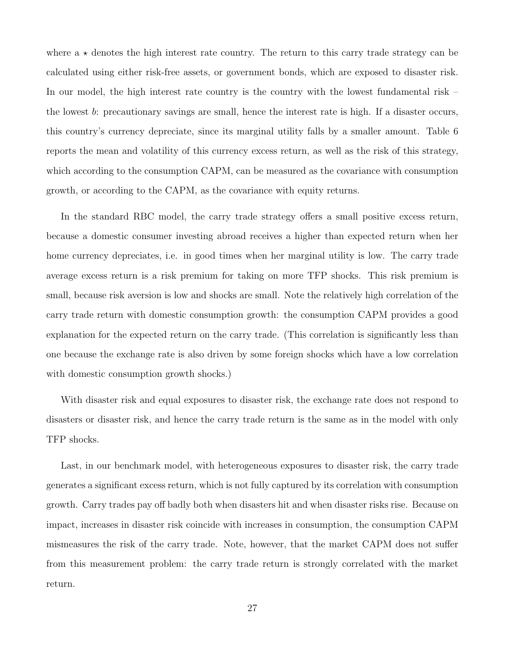where  $a \star$  denotes the high interest rate country. The return to this carry trade strategy can be calculated using either risk-free assets, or government bonds, which are exposed to disaster risk. In our model, the high interest rate country is the country with the lowest fundamental risk – the lowest b: precautionary savings are small, hence the interest rate is high. If a disaster occurs, this country's currency depreciate, since its marginal utility falls by a smaller amount. Table 6 reports the mean and volatility of this currency excess return, as well as the risk of this strategy, which according to the consumption CAPM, can be measured as the covariance with consumption growth, or according to the CAPM, as the covariance with equity returns.

In the standard RBC model, the carry trade strategy offers a small positive excess return, because a domestic consumer investing abroad receives a higher than expected return when her home currency depreciates, i.e. in good times when her marginal utility is low. The carry trade average excess return is a risk premium for taking on more TFP shocks. This risk premium is small, because risk aversion is low and shocks are small. Note the relatively high correlation of the carry trade return with domestic consumption growth: the consumption CAPM provides a good explanation for the expected return on the carry trade. (This correlation is significantly less than one because the exchange rate is also driven by some foreign shocks which have a low correlation with domestic consumption growth shocks.)

With disaster risk and equal exposures to disaster risk, the exchange rate does not respond to disasters or disaster risk, and hence the carry trade return is the same as in the model with only TFP shocks.

Last, in our benchmark model, with heterogeneous exposures to disaster risk, the carry trade generates a significant excess return, which is not fully captured by its correlation with consumption growth. Carry trades pay off badly both when disasters hit and when disaster risks rise. Because on impact, increases in disaster risk coincide with increases in consumption, the consumption CAPM mismeasures the risk of the carry trade. Note, however, that the market CAPM does not suffer from this measurement problem: the carry trade return is strongly correlated with the market return.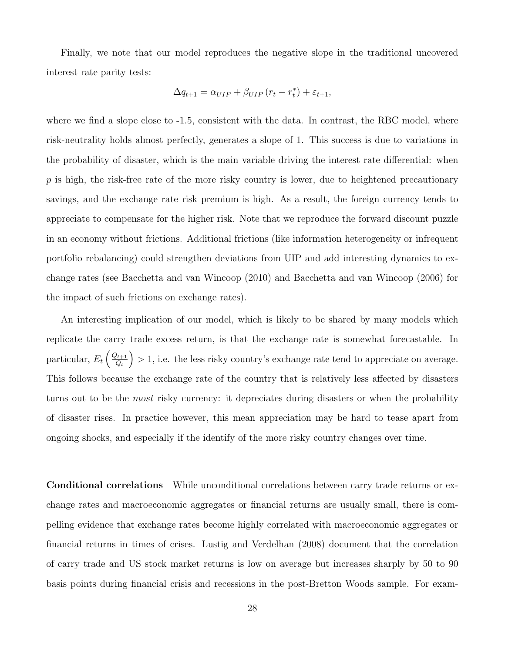Finally, we note that our model reproduces the negative slope in the traditional uncovered interest rate parity tests:

$$
\Delta q_{t+1} = \alpha_{UIP} + \beta_{UIP} (r_t - r_t^*) + \varepsilon_{t+1},
$$

where we find a slope close to  $-1.5$ , consistent with the data. In contrast, the RBC model, where risk-neutrality holds almost perfectly, generates a slope of 1. This success is due to variations in the probability of disaster, which is the main variable driving the interest rate differential: when  $p$  is high, the risk-free rate of the more risky country is lower, due to heightened precautionary savings, and the exchange rate risk premium is high. As a result, the foreign currency tends to appreciate to compensate for the higher risk. Note that we reproduce the forward discount puzzle in an economy without frictions. Additional frictions (like information heterogeneity or infrequent portfolio rebalancing) could strengthen deviations from UIP and add interesting dynamics to exchange rates (see Bacchetta and van Wincoop (2010) and Bacchetta and van Wincoop (2006) for the impact of such frictions on exchange rates).

An interesting implication of our model, which is likely to be shared by many models which replicate the carry trade excess return, is that the exchange rate is somewhat forecastable. In particular,  $E_t \left( \frac{Q_{t+1}}{Q_t} \right)$  $Q_t$  $\}$  > 1, i.e. the less risky country's exchange rate tend to appreciate on average. This follows because the exchange rate of the country that is relatively less affected by disasters turns out to be the *most* risky currency: it depreciates during disasters or when the probability of disaster rises. In practice however, this mean appreciation may be hard to tease apart from ongoing shocks, and especially if the identify of the more risky country changes over time.

Conditional correlations While unconditional correlations between carry trade returns or exchange rates and macroeconomic aggregates or financial returns are usually small, there is compelling evidence that exchange rates become highly correlated with macroeconomic aggregates or financial returns in times of crises. Lustig and Verdelhan (2008) document that the correlation of carry trade and US stock market returns is low on average but increases sharply by 50 to 90 basis points during financial crisis and recessions in the post-Bretton Woods sample. For exam-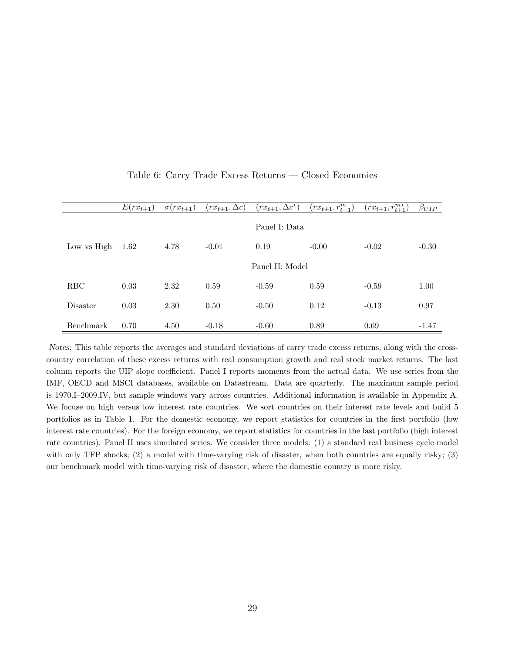|                 | $E(rx_{t+1})$ | $\sigma(rx_{t+1})$ | $(rx_{t+1}, \Delta c)$ | $(rx_{t+1}, \Delta c^{\star})$ | $\overline{(rx_{t+1}, r_{t+1}^m)}$ | $(rx_{t+1}, r_{t+1}^{m*})$ | $\beta_{UIP}$ |
|-----------------|---------------|--------------------|------------------------|--------------------------------|------------------------------------|----------------------------|---------------|
|                 |               |                    |                        | Panel I: Data                  |                                    |                            |               |
| Low vs High     | 1.62          | 4.78               | $-0.01$                | 0.19                           | $-0.00$                            | $-0.02$                    | $-0.30$       |
|                 |               |                    |                        | Panel II: Model                |                                    |                            |               |
| <b>RBC</b>      | 0.03          | 2.32               | 0.59                   | $-0.59$                        | 0.59                               | $-0.59$                    | 1.00          |
| <b>Disaster</b> | 0.03          | 2.30               | 0.50                   | $-0.50$                        | 0.12                               | $-0.13$                    | 0.97          |
| Benchmark       | 0.70          | 4.50               | $-0.18$                | $-0.60$                        | 0.89                               | 0.69                       | $-1.47$       |

Table 6: Carry Trade Excess Returns — Closed Economies

Notes: This table reports the averages and standard deviations of carry trade excess returns, along with the crosscountry correlation of these excess returns with real consumption growth and real stock market returns. The last column reports the UIP slope coefficient. Panel I reports moments from the actual data. We use series from the IMF, OECD and MSCI databases, available on Datastream. Data are quarterly. The maximum sample period is 1970.I–2009.IV, but sample windows vary across countries. Additional information is available in Appendix A. We focuse on high versus low interest rate countries. We sort countries on their interest rate levels and build 5 portfolios as in Table 1. For the domestic economy, we report statistics for countries in the first portfolio (low interest rate countries). For the foreign economy, we report statistics for countries in the last portfolio (high interest rate countries). Panel II uses simulated series. We consider three models: (1) a standard real business cycle model with only TFP shocks; (2) a model with time-varying risk of disaster, when both countries are equally risky; (3) our benchmark model with time-varying risk of disaster, where the domestic country is more risky.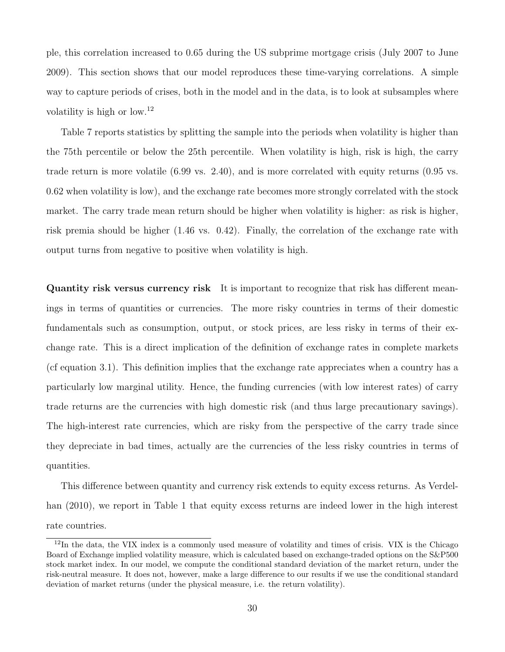ple, this correlation increased to 0.65 during the US subprime mortgage crisis (July 2007 to June 2009). This section shows that our model reproduces these time-varying correlations. A simple way to capture periods of crises, both in the model and in the data, is to look at subsamples where volatility is high or low.<sup>12</sup>

Table 7 reports statistics by splitting the sample into the periods when volatility is higher than the 75th percentile or below the 25th percentile. When volatility is high, risk is high, the carry trade return is more volatile (6.99 vs. 2.40), and is more correlated with equity returns (0.95 vs. 0.62 when volatility is low), and the exchange rate becomes more strongly correlated with the stock market. The carry trade mean return should be higher when volatility is higher: as risk is higher, risk premia should be higher (1.46 vs. 0.42). Finally, the correlation of the exchange rate with output turns from negative to positive when volatility is high.

Quantity risk versus currency risk It is important to recognize that risk has different meanings in terms of quantities or currencies. The more risky countries in terms of their domestic fundamentals such as consumption, output, or stock prices, are less risky in terms of their exchange rate. This is a direct implication of the definition of exchange rates in complete markets (cf equation 3.1). This definition implies that the exchange rate appreciates when a country has a particularly low marginal utility. Hence, the funding currencies (with low interest rates) of carry trade returns are the currencies with high domestic risk (and thus large precautionary savings). The high-interest rate currencies, which are risky from the perspective of the carry trade since they depreciate in bad times, actually are the currencies of the less risky countries in terms of quantities.

This difference between quantity and currency risk extends to equity excess returns. As Verdelhan (2010), we report in Table 1 that equity excess returns are indeed lower in the high interest rate countries.

<sup>12</sup>In the data, the VIX index is a commonly used measure of volatility and times of crisis. VIX is the Chicago Board of Exchange implied volatility measure, which is calculated based on exchange-traded options on the S&P500 stock market index. In our model, we compute the conditional standard deviation of the market return, under the risk-neutral measure. It does not, however, make a large difference to our results if we use the conditional standard deviation of market returns (under the physical measure, i.e. the return volatility).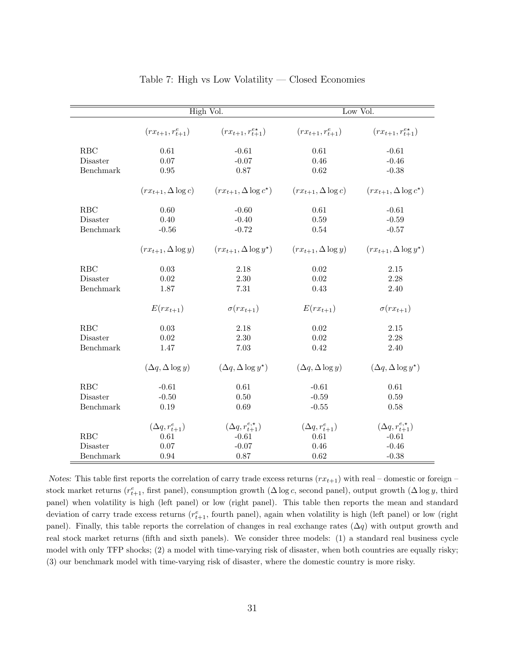|            |                             | High Vol.                           |                             | Low Vol.                        |  |  |  |
|------------|-----------------------------|-------------------------------------|-----------------------------|---------------------------------|--|--|--|
|            | $(rx_{t+1}, r_{t+1}^e)$     | $(rx_{t+1}, r_{t+1}^{e*})$          | $(rx_{t+1}, r_{t+1}^e)$     | $(rx_{t+1}, r_{t+1}^{e*})$      |  |  |  |
| RBC        | $0.61\,$                    | $-0.61$                             | $0.61\,$                    | $-0.61$                         |  |  |  |
| Disaster   | 0.07                        | $-0.07$                             | 0.46                        | $-0.46$                         |  |  |  |
| Benchmark  | $0.95\,$                    | $0.87\,$                            | 0.62                        | $-0.38$                         |  |  |  |
|            | $(rx_{t+1}, \Delta \log c)$ | $(rx_{t+1}, \Delta \log c^*)$       | $(rx_{t+1}, \Delta \log c)$ | $(rx_{t+1}, \Delta \log c^*)$   |  |  |  |
| RBC        | 0.60                        | $-0.60$                             | $0.61\,$                    | $-0.61$                         |  |  |  |
| Disaster   | 0.40                        | $-0.40$                             | 0.59                        | $-0.59$                         |  |  |  |
| Benchmark  | $-0.56$                     | $-0.72$                             | 0.54                        | $-0.57$                         |  |  |  |
|            | $(rx_{t+1}, \Delta \log y)$ | $(rx_{t+1}, \Delta \log y^*)$       | $(rx_{t+1}, \Delta \log y)$ | $(rx_{t+1}, \Delta \log y^*)$   |  |  |  |
| <b>RBC</b> | $0.03\,$                    | 2.18                                | 0.02                        | $2.15\,$                        |  |  |  |
| Disaster   | $0.02\,$                    | 2.30                                | 0.02                        | 2.28                            |  |  |  |
| Benchmark  | 1.87                        | 7.31                                | 0.43                        | 2.40                            |  |  |  |
|            | $E(rx_{t+1})$               | $\sigma(rx_{t+1})$                  | $E(rx_{t+1})$               | $\sigma(rx_{t+1})$              |  |  |  |
| RBC        | 0.03                        | 2.18                                | 0.02                        | $2.15\,$                        |  |  |  |
| Disaster   | $\,0.02\,$                  | 2.30                                | 0.02                        | 2.28                            |  |  |  |
| Benchmark  | 1.47                        | 7.03                                | 0.42                        | 2.40                            |  |  |  |
|            | $(\Delta q, \Delta \log y)$ | $(\Delta q, \Delta \log y^{\star})$ | $(\Delta q, \Delta \log y)$ | $(\Delta q, \Delta \log y^*)$   |  |  |  |
| RBC        | $-0.61$                     | 0.61                                | $-0.61$                     | 0.61                            |  |  |  |
| Disaster   | $-0.50$                     | $0.50\,$                            | $-0.59$                     | 0.59                            |  |  |  |
| Benchmark  | 0.19                        | $0.69\,$                            | $-0.55$                     | 0.58                            |  |  |  |
|            | $(\Delta q, r_{t+1}^e)$     | $(\Delta q, r_{t+1}^{e,\star})$     | $(\Delta q, r_{t+1}^e)$     | $(\Delta q, r_{t+1}^{e,\star})$ |  |  |  |
| RBC        | 0.61                        | $-0.61$                             | 0.61                        | $-0.61$                         |  |  |  |
| Disaster   | 0.07                        | $-0.07$                             | 0.46                        | $-0.46$                         |  |  |  |
| Benchmark  | 0.94                        | 0.87                                | 0.62                        | $-0.38$                         |  |  |  |

#### Table 7: High vs Low Volatility — Closed Economies

Notes: This table first reports the correlation of carry trade excess returns  $(rx_{t+1})$  with real – domestic or foreign – stock market returns ( $r_{t+1}^e$ , first panel), consumption growth ( $\Delta \log c$ , second panel), output growth ( $\Delta \log y$ , third panel) when volatility is high (left panel) or low (right panel). This table then reports the mean and standard deviation of carry trade excess returns  $(r_{t+1}^e$ , fourth panel), again when volatility is high (left panel) or low (right panel). Finally, this table reports the correlation of changes in real exchange rates  $(\Delta q)$  with output growth and real stock market returns (fifth and sixth panels). We consider three models: (1) a standard real business cycle model with only TFP shocks; (2) a model with time-varying risk of disaster, when both countries are equally risky; (3) our benchmark model with time-varying risk of disaster, where the domestic country is more risky.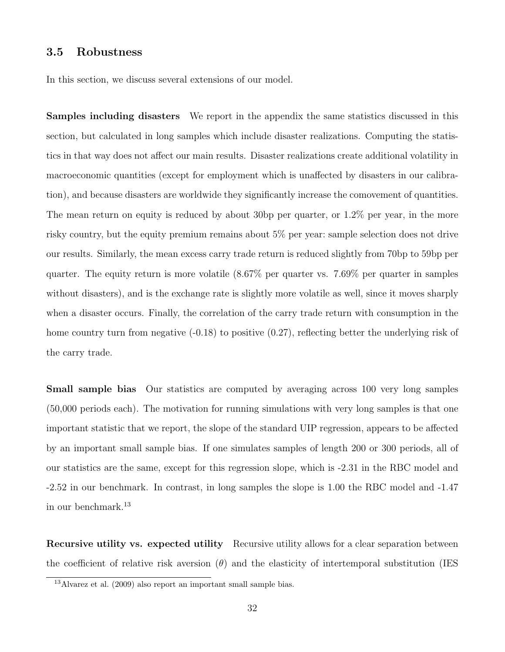#### 3.5 Robustness

In this section, we discuss several extensions of our model.

Samples including disasters We report in the appendix the same statistics discussed in this section, but calculated in long samples which include disaster realizations. Computing the statistics in that way does not affect our main results. Disaster realizations create additional volatility in macroeconomic quantities (except for employment which is unaffected by disasters in our calibration), and because disasters are worldwide they significantly increase the comovement of quantities. The mean return on equity is reduced by about 30bp per quarter, or 1.2% per year, in the more risky country, but the equity premium remains about 5% per year: sample selection does not drive our results. Similarly, the mean excess carry trade return is reduced slightly from 70bp to 59bp per quarter. The equity return is more volatile (8.67% per quarter vs. 7.69% per quarter in samples without disasters), and is the exchange rate is slightly more volatile as well, since it moves sharply when a disaster occurs. Finally, the correlation of the carry trade return with consumption in the home country turn from negative  $(-0.18)$  to positive  $(0.27)$ , reflecting better the underlying risk of the carry trade.

Small sample bias Our statistics are computed by averaging across 100 very long samples (50,000 periods each). The motivation for running simulations with very long samples is that one important statistic that we report, the slope of the standard UIP regression, appears to be affected by an important small sample bias. If one simulates samples of length 200 or 300 periods, all of our statistics are the same, except for this regression slope, which is -2.31 in the RBC model and -2.52 in our benchmark. In contrast, in long samples the slope is 1.00 the RBC model and -1.47 in our benchmark.<sup>13</sup>

Recursive utility vs. expected utility Recursive utility allows for a clear separation between the coefficient of relative risk aversion  $(\theta)$  and the elasticity of intertemporal substitution (IES

<sup>&</sup>lt;sup>13</sup>Alvarez et al. (2009) also report an important small sample bias.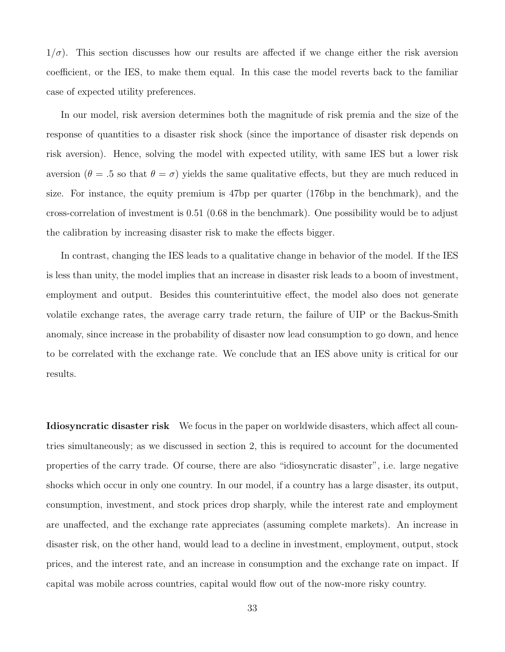$1/\sigma$ ). This section discusses how our results are affected if we change either the risk aversion coefficient, or the IES, to make them equal. In this case the model reverts back to the familiar case of expected utility preferences.

In our model, risk aversion determines both the magnitude of risk premia and the size of the response of quantities to a disaster risk shock (since the importance of disaster risk depends on risk aversion). Hence, solving the model with expected utility, with same IES but a lower risk aversion ( $\theta = .5$  so that  $\theta = \sigma$ ) yields the same qualitative effects, but they are much reduced in size. For instance, the equity premium is 47bp per quarter (176bp in the benchmark), and the cross-correlation of investment is 0.51 (0.68 in the benchmark). One possibility would be to adjust the calibration by increasing disaster risk to make the effects bigger.

In contrast, changing the IES leads to a qualitative change in behavior of the model. If the IES is less than unity, the model implies that an increase in disaster risk leads to a boom of investment, employment and output. Besides this counterintuitive effect, the model also does not generate volatile exchange rates, the average carry trade return, the failure of UIP or the Backus-Smith anomaly, since increase in the probability of disaster now lead consumption to go down, and hence to be correlated with the exchange rate. We conclude that an IES above unity is critical for our results.

Idiosyncratic disaster risk We focus in the paper on worldwide disasters, which affect all countries simultaneously; as we discussed in section 2, this is required to account for the documented properties of the carry trade. Of course, there are also "idiosyncratic disaster", i.e. large negative shocks which occur in only one country. In our model, if a country has a large disaster, its output, consumption, investment, and stock prices drop sharply, while the interest rate and employment are unaffected, and the exchange rate appreciates (assuming complete markets). An increase in disaster risk, on the other hand, would lead to a decline in investment, employment, output, stock prices, and the interest rate, and an increase in consumption and the exchange rate on impact. If capital was mobile across countries, capital would flow out of the now-more risky country.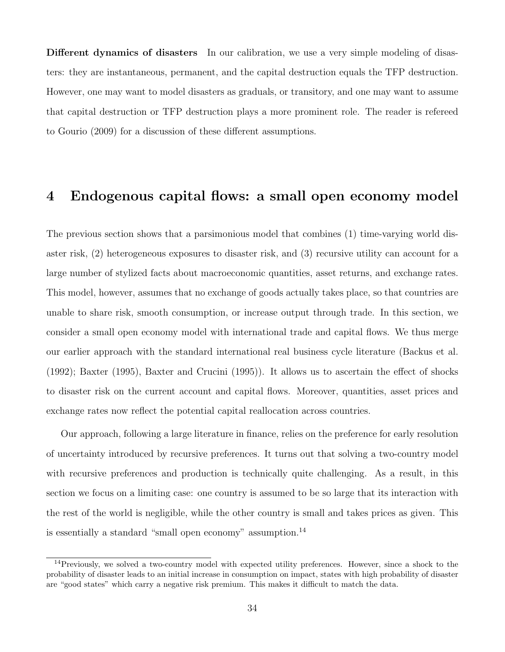Different dynamics of disasters In our calibration, we use a very simple modeling of disasters: they are instantaneous, permanent, and the capital destruction equals the TFP destruction. However, one may want to model disasters as graduals, or transitory, and one may want to assume that capital destruction or TFP destruction plays a more prominent role. The reader is refereed to Gourio (2009) for a discussion of these different assumptions.

### 4 Endogenous capital flows: a small open economy model

The previous section shows that a parsimonious model that combines (1) time-varying world disaster risk, (2) heterogeneous exposures to disaster risk, and (3) recursive utility can account for a large number of stylized facts about macroeconomic quantities, asset returns, and exchange rates. This model, however, assumes that no exchange of goods actually takes place, so that countries are unable to share risk, smooth consumption, or increase output through trade. In this section, we consider a small open economy model with international trade and capital flows. We thus merge our earlier approach with the standard international real business cycle literature (Backus et al. (1992); Baxter (1995), Baxter and Crucini (1995)). It allows us to ascertain the effect of shocks to disaster risk on the current account and capital flows. Moreover, quantities, asset prices and exchange rates now reflect the potential capital reallocation across countries.

Our approach, following a large literature in finance, relies on the preference for early resolution of uncertainty introduced by recursive preferences. It turns out that solving a two-country model with recursive preferences and production is technically quite challenging. As a result, in this section we focus on a limiting case: one country is assumed to be so large that its interaction with the rest of the world is negligible, while the other country is small and takes prices as given. This is essentially a standard "small open economy" assumption.<sup>14</sup>

<sup>&</sup>lt;sup>14</sup>Previously, we solved a two-country model with expected utility preferences. However, since a shock to the probability of disaster leads to an initial increase in consumption on impact, states with high probability of disaster are "good states" which carry a negative risk premium. This makes it difficult to match the data.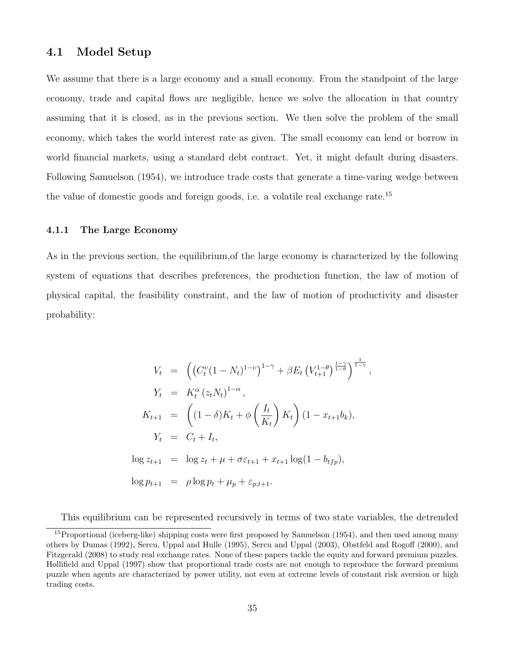#### 4.1 Model Setup

We assume that there is a large economy and a small economy. From the standpoint of the large economy, trade and capital flows are negligible, hence we solve the allocation in that country assuming that it is closed, as in the previous section. We then solve the problem of the small economy, which takes the world interest rate as given. The small economy can lend or borrow in world financial markets, using a standard debt contract. Yet, it might default during disasters. Following Samuelson (1954), we introduce trade costs that generate a time-varing wedge between the value of domestic goods and foreign goods, i.e. a volatile real exchange rate.<sup>15</sup>

#### 4.1.1 The Large Economy

As in the previous section, the equilibrium,of the large economy is characterized by the following system of equations that describes preferences, the production function, the law of motion of physical capital, the feasibility constraint, and the law of motion of productivity and disaster probability:

$$
V_t = \left( \left( C_t^v (1 - N_t)^{1-v} \right)^{1-\gamma} + \beta E_t \left( V_{t+1}^{1-\theta} \right)^{\frac{1-\gamma}{1-\theta}} \right)^{\frac{1}{1-\gamma}},
$$
  
\n
$$
Y_t = K_t^{\alpha} (z_t N_t)^{1-\alpha},
$$
  
\n
$$
K_{t+1} = \left( (1 - \delta) K_t + \phi \left( \frac{I_t}{K_t} \right) K_t \right) (1 - x_{t+1} b_k),
$$
  
\n
$$
Y_t = C_t + I_t,
$$
  
\n
$$
\log z_{t+1} = \log z_t + \mu + \sigma \varepsilon_{t+1} + x_{t+1} \log(1 - b_{tfp}),
$$
  
\n
$$
\log p_{t+1} = \rho \log p_t + \mu_p + \varepsilon_{p,t+1}.
$$

This equilibrium can be represented recursively in terms of two state variables, the detrended

<sup>&</sup>lt;sup>15</sup>Proportional (iceberg-like) shipping costs were first proposed by Samuelson (1954), and then used among many others by Dumas (1992), Sercu, Uppal and Hulle (1995), Sercu and Uppal (2003), Obstfeld and Rogoff (2000), and Fitzgerald (2008) to study real exchange rates. None of these papers tackle the equity and forward premium puzzles. Hollifield and Uppal (1997) show that proportional trade costs are not enough to reproduce the forward premium puzzle when agents are characterized by power utility, not even at extreme levels of constant risk aversion or high trading costs.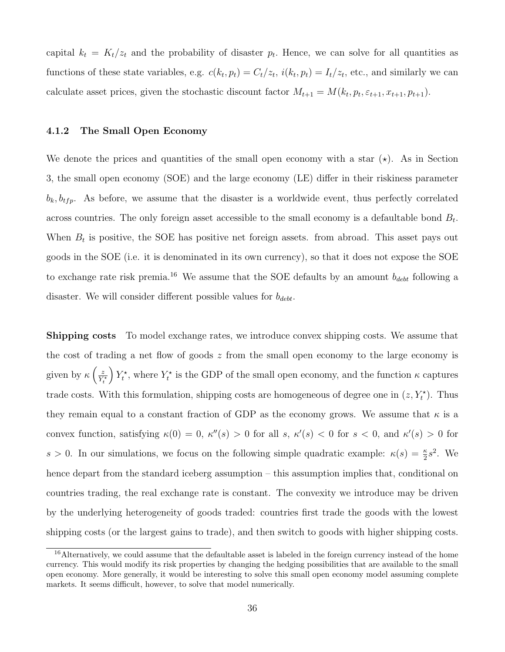capital  $k_t = K_t/z_t$  and the probability of disaster  $p_t$ . Hence, we can solve for all quantities as functions of these state variables, e.g.  $c(k_t, p_t) = C_t/z_t$ ,  $i(k_t, p_t) = I_t/z_t$ , etc., and similarly we can calculate asset prices, given the stochastic discount factor  $M_{t+1} = M(k_t, p_t, \varepsilon_{t+1}, x_{t+1}, p_{t+1}).$ 

#### 4.1.2 The Small Open Economy

We denote the prices and quantities of the small open economy with a star  $(\star)$ . As in Section 3, the small open economy (SOE) and the large economy (LE) differ in their riskiness parameter  $b_k$ ,  $b_{tfp}$ . As before, we assume that the disaster is a worldwide event, thus perfectly correlated across countries. The only foreign asset accessible to the small economy is a defaultable bond  $B_t$ . When  $B_t$  is positive, the SOE has positive net foreign assets. from abroad. This asset pays out goods in the SOE (i.e. it is denominated in its own currency), so that it does not expose the SOE to exchange rate risk premia.<sup>16</sup> We assume that the SOE defaults by an amount  $b_{debt}$  following a disaster. We will consider different possible values for  $b_{debt}$ .

Shipping costs To model exchange rates, we introduce convex shipping costs. We assume that the cost of trading a net flow of goods  $z$  from the small open economy to the large economy is given by  $\kappa\left(\frac{z}{V}\right)$  $\overline{Y_t^\star}$  $\int Y_t^*$ , where  $Y_t^*$  is the GDP of the small open economy, and the function  $\kappa$  captures trade costs. With this formulation, shipping costs are homogeneous of degree one in  $(z, Y_t^*)$ . Thus they remain equal to a constant fraction of GDP as the economy grows. We assume that  $\kappa$  is a convex function, satisfying  $\kappa(0) = 0$ ,  $\kappa''(s) > 0$  for all s,  $\kappa'(s) < 0$  for  $s < 0$ , and  $\kappa'(s) > 0$  for s > 0. In our simulations, we focus on the following simple quadratic example:  $\kappa(s) = \frac{\kappa}{2} s^2$ . We hence depart from the standard iceberg assumption – this assumption implies that, conditional on countries trading, the real exchange rate is constant. The convexity we introduce may be driven by the underlying heterogeneity of goods traded: countries first trade the goods with the lowest shipping costs (or the largest gains to trade), and then switch to goods with higher shipping costs.

<sup>&</sup>lt;sup>16</sup>Alternatively, we could assume that the defaultable asset is labeled in the foreign currency instead of the home currency. This would modify its risk properties by changing the hedging possibilities that are available to the small open economy. More generally, it would be interesting to solve this small open economy model assuming complete markets. It seems difficult, however, to solve that model numerically.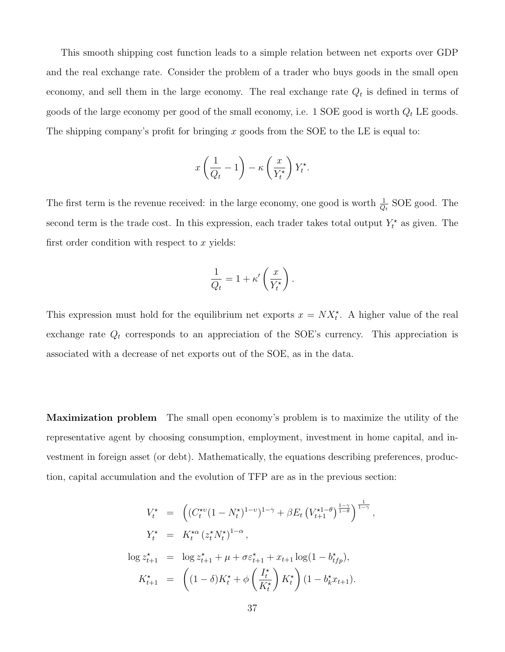This smooth shipping cost function leads to a simple relation between net exports over GDP and the real exchange rate. Consider the problem of a trader who buys goods in the small open economy, and sell them in the large economy. The real exchange rate  $Q_t$  is defined in terms of goods of the large economy per good of the small economy, i.e. 1 SOE good is worth  $Q_t$  LE goods. The shipping company's profit for bringing  $x$  goods from the SOE to the LE is equal to:

$$
x\left(\frac{1}{Q_t} - 1\right) - \kappa \left(\frac{x}{Y_t^*}\right) Y_t^*.
$$

The first term is the revenue received: in the large economy, one good is worth  $\frac{1}{Q_t}$  SOE good. The second term is the trade cost. In this expression, each trader takes total output  $Y_t^*$  as given. The first order condition with respect to  $x$  yields:

$$
\frac{1}{Q_t} = 1 + \kappa' \left(\frac{x}{Y_t^*}\right).
$$

This expression must hold for the equilibrium net exports  $x = N X_t^*$ . A higher value of the real exchange rate  $Q_t$  corresponds to an appreciation of the SOE's currency. This appreciation is associated with a decrease of net exports out of the SOE, as in the data.

Maximization problem The small open economy's problem is to maximize the utility of the representative agent by choosing consumption, employment, investment in home capital, and investment in foreign asset (or debt). Mathematically, the equations describing preferences, production, capital accumulation and the evolution of TFP are as in the previous section:

$$
V_t^* = \left( (C_t^{*v} (1 - N_t^*)^{1-v})^{1-\gamma} + \beta E_t \left( V_{t+1}^{*1-\theta} \right)^{\frac{1-\gamma}{1-\theta}} \right)^{\frac{1}{1-\gamma}},
$$
  
\n
$$
Y_t^* = K_t^{*\alpha} (z_t^* N_t^*)^{1-\alpha},
$$
  
\n
$$
\log z_{t+1}^* = \log z_{t+1}^* + \mu + \sigma \varepsilon_{t+1}^* + x_{t+1} \log(1 - b_{tfp}^*),
$$
  
\n
$$
K_{t+1}^* = \left( (1 - \delta) K_t^* + \phi \left( \frac{I_t^*}{K_t^*} \right) K_t^* \right) (1 - b_k^* x_{t+1}).
$$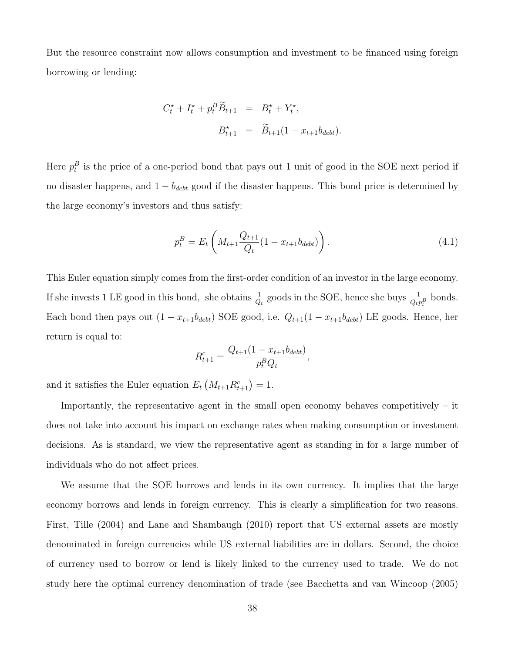But the resource constraint now allows consumption and investment to be financed using foreign borrowing or lending:

$$
C_t^* + I_t^* + p_t^B \widetilde{B}_{t+1} = B_t^* + Y_t^*,
$$
  

$$
B_{t+1}^* = \widetilde{B}_{t+1} (1 - x_{t+1} b_{debt}).
$$

Here  $p_t^B$  is the price of a one-period bond that pays out 1 unit of good in the SOE next period if no disaster happens, and  $1 - b_{debt}$  good if the disaster happens. This bond price is determined by the large economy's investors and thus satisfy:

$$
p_t^B = E_t \left( M_{t+1} \frac{Q_{t+1}}{Q_t} (1 - x_{t+1} b_{\text{debt}}) \right). \tag{4.1}
$$

This Euler equation simply comes from the first-order condition of an investor in the large economy. If she invests 1 LE good in this bond, she obtains  $\frac{1}{Q_t}$  goods in the SOE, hence she buys  $\frac{1}{Q_t p_t^B}$  bonds. Each bond then pays out  $(1 - x_{t+1}b_{debt})$  SOE good, i.e.  $Q_{t+1}(1 - x_{t+1}b_{debt})$  LE goods. Hence, her return is equal to:

$$
R_{t+1}^c = \frac{Q_{t+1}(1 - x_{t+1}b_{debt})}{p_t^B Q_t},
$$

and it satisfies the Euler equation  $E_t\left(M_{t+1}R_{t+1}^c\right) = 1$ .

Importantly, the representative agent in the small open economy behaves competitively – it does not take into account his impact on exchange rates when making consumption or investment decisions. As is standard, we view the representative agent as standing in for a large number of individuals who do not affect prices.

We assume that the SOE borrows and lends in its own currency. It implies that the large economy borrows and lends in foreign currency. This is clearly a simplification for two reasons. First, Tille (2004) and Lane and Shambaugh (2010) report that US external assets are mostly denominated in foreign currencies while US external liabilities are in dollars. Second, the choice of currency used to borrow or lend is likely linked to the currency used to trade. We do not study here the optimal currency denomination of trade (see Bacchetta and van Wincoop (2005)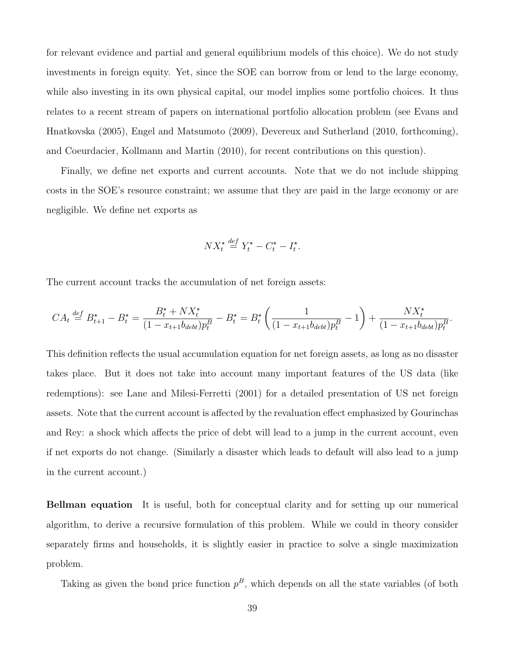for relevant evidence and partial and general equilibrium models of this choice). We do not study investments in foreign equity. Yet, since the SOE can borrow from or lend to the large economy, while also investing in its own physical capital, our model implies some portfolio choices. It thus relates to a recent stream of papers on international portfolio allocation problem (see Evans and Hnatkovska (2005), Engel and Matsumoto (2009), Devereux and Sutherland (2010, forthcoming), and Coeurdacier, Kollmann and Martin (2010), for recent contributions on this question).

Finally, we define net exports and current accounts. Note that we do not include shipping costs in the SOE's resource constraint; we assume that they are paid in the large economy or are negligible. We define net exports as

$$
NX_t^* \stackrel{\text{def}}{=} Y_t^* - C_t^* - I_t^*.
$$

The current account tracks the accumulation of net foreign assets:

$$
CA_t \stackrel{def}{=} B_{t+1}^* - B_t^* = \frac{B_t^* + N X_t^*}{(1 - x_{t+1} b_{debt}) p_t^B} - B_t^* = B_t^* \left( \frac{1}{(1 - x_{t+1} b_{debt}) p_t^B} - 1 \right) + \frac{N X_t^*}{(1 - x_{t+1} b_{debt}) p_t^B}.
$$

This definition reflects the usual accumulation equation for net foreign assets, as long as no disaster takes place. But it does not take into account many important features of the US data (like redemptions): see Lane and Milesi-Ferretti (2001) for a detailed presentation of US net foreign assets. Note that the current account is affected by the revaluation effect emphasized by Gourinchas and Rey: a shock which affects the price of debt will lead to a jump in the current account, even if net exports do not change. (Similarly a disaster which leads to default will also lead to a jump in the current account.)

Bellman equation It is useful, both for conceptual clarity and for setting up our numerical algorithm, to derive a recursive formulation of this problem. While we could in theory consider separately firms and households, it is slightly easier in practice to solve a single maximization problem.

Taking as given the bond price function  $p<sup>B</sup>$ , which depends on all the state variables (of both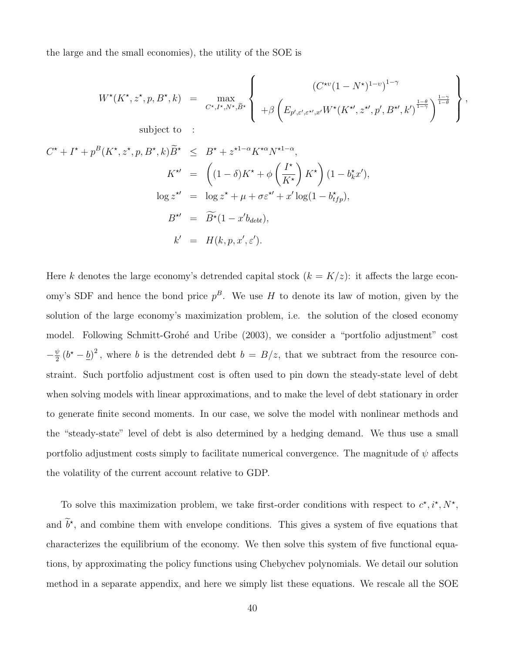the large and the small economies), the utility of the SOE is

$$
W^{\star}(K^{\star}, z^{\star}, p, B^{\star}, k) = \max_{C^{\star}, I^{\star}, N^{\star}, \tilde{B}^{\star}} \left\{ \begin{array}{c} \left(C^{\star\upsilon}(1 - N^{\star})^{1-\upsilon}\right)^{1-\gamma} \\ + \beta \left(E_{p', \varepsilon', \varepsilon^{\star\prime}, x'}W^{\star}(K^{\star\prime}, z^{\star\prime}, p', B^{\star\prime}, k')^{\frac{1-\theta}{1-\gamma}}\right)^{\frac{1-\gamma}{1-\theta}} \end{array} \right\},
$$
 subject to :

$$
C^{\star} + I^{\star} + p^{B}(K^{\star}, z^{\star}, p, B^{\star}, k) \widetilde{B}^{\star} \leq B^{\star} + z^{\star 1-\alpha} K^{\star \alpha} N^{\star 1-\alpha},
$$
  
\n
$$
K^{\star\prime} = \left( (1-\delta)K^{\star} + \phi \left( \frac{I^{\star}}{K^{\star}} \right) K^{\star} \right) (1 - b_{k}^{\star} x'),
$$
  
\n
$$
\log z^{\star\prime} = \log z^{\star} + \mu + \sigma \varepsilon^{\star\prime} + x' \log(1 - b_{tfp}^{\star}),
$$
  
\n
$$
B^{\star\prime} = \widetilde{B}^{\star} (1 - x' b_{debt}),
$$
  
\n
$$
k' = H(k, p, x', \varepsilon').
$$

Here k denotes the large economy's detrended capital stock  $(k = K/z)$ : it affects the large economy's SDF and hence the bond price  $p^B$ . We use H to denote its law of motion, given by the solution of the large economy's maximization problem, i.e. the solution of the closed economy model. Following Schmitt-Grohé and Uribe (2003), we consider a "portfolio adjustment" cost  $-\frac{\psi}{2}$  $\frac{\psi}{2}(b^* - \underline{b})^2$ , where b is the detrended debt  $b = B/z$ , that we subtract from the resource constraint. Such portfolio adjustment cost is often used to pin down the steady-state level of debt when solving models with linear approximations, and to make the level of debt stationary in order to generate finite second moments. In our case, we solve the model with nonlinear methods and the "steady-state" level of debt is also determined by a hedging demand. We thus use a small portfolio adjustment costs simply to facilitate numerical convergence. The magnitude of  $\psi$  affects the volatility of the current account relative to GDP.

To solve this maximization problem, we take first-order conditions with respect to  $c^*, i^*, N^*,$ and  $b^*$ , and combine them with envelope conditions. This gives a system of five equations that characterizes the equilibrium of the economy. We then solve this system of five functional equations, by approximating the policy functions using Chebychev polynomials. We detail our solution method in a separate appendix, and here we simply list these equations. We rescale all the SOE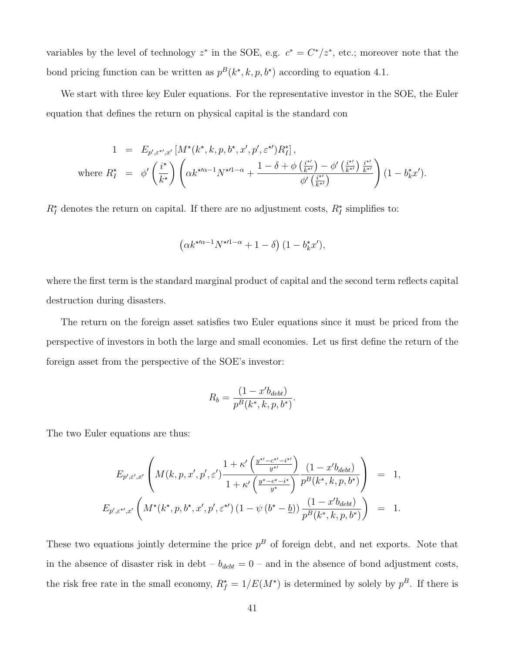variables by the level of technology  $z^*$  in the SOE, e.g.  $c^* = C^*/z^*$ , etc.; moreover note that the bond pricing function can be written as  $p^{B}(k^*, k, p, b^*)$  according to equation 4.1.

We start with three key Euler equations. For the representative investor in the SOE, the Euler equation that defines the return on physical capital is the standard con

$$
1 = E_{p',\varepsilon^{\star\prime},x'}\left[M^{\star}(k^{\star},k,p,b^{\star},x',p',\varepsilon^{\star\prime})R_I^*\right],
$$
  
where  $R_I^{\star} = \phi'\left(\frac{i^{\star}}{k^{\star}}\right)\left(\alpha k^{\star\prime\alpha-1}N^{\star\prime1-\alpha} + \frac{1-\delta+\phi\left(\frac{i^{\star\prime}}{k^{\star\prime}}\right)-\phi'\left(\frac{i^{\star\prime}}{k^{\star\prime}}\right)\frac{i^{\star\prime}}{k^{\star\prime}}}{\phi'\left(\frac{i^{\star\prime}}{k^{\star\prime}}\right)}\right)(1-b_k^{\star}x').$ 

 $R_I^{\star}$  denotes the return on capital. If there are no adjustment costs,  $R_I^{\star}$  simplifies to:

$$
\left(\alpha k^{\star\prime\alpha-1}N^{\star\prime 1-\alpha}+1-\delta\right)(1-b_k^\star x'),
$$

where the first term is the standard marginal product of capital and the second term reflects capital destruction during disasters.

The return on the foreign asset satisfies two Euler equations since it must be priced from the perspective of investors in both the large and small economies. Let us first define the return of the foreign asset from the perspective of the SOE's investor:

$$
R_b = \frac{(1 - x'b_{debt})}{p^B(k^*, k, p, b^*)}.
$$

The two Euler equations are thus:

$$
E_{p',\varepsilon',x'}\left(M(k,p,x',p',\varepsilon')\frac{1+\kappa'\left(\frac{y^{*'}-c^{*'}-i^{*'}}{y^{*'}}\right)}{1+\kappa'\left(\frac{y^{*}-c^{*}-i^{*}}{y^{*}}\right)}\frac{(1-x'b_{debt})}{p^{B}(k^{*},k,p,b^{*})}\right) = 1,
$$
  

$$
E_{p',\varepsilon^{*'},x'}\left(M^*(k^{*},p,b^{*},x',p',\varepsilon^{*'})\left(1-\psi\left(b^{*}-\underline{b}\right)\right)\frac{(1-x'b_{debt})}{p^{B}(k^{*},k,p,b^{*})}\right) = 1.
$$

These two equations jointly determine the price  $p<sup>B</sup>$  of foreign debt, and net exports. Note that in the absence of disaster risk in debt –  $b_{debt} = 0$  – and in the absence of bond adjustment costs, the risk free rate in the small economy,  $R_f^* = 1/E(M^*)$  is determined by solely by  $p^B$ . If there is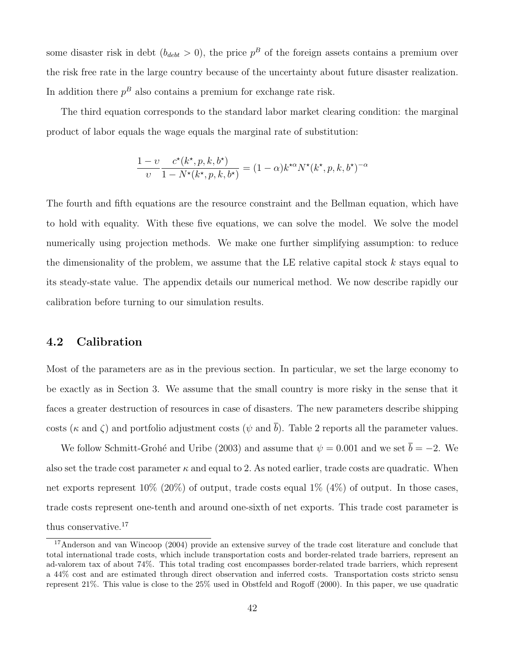some disaster risk in debt  $(b_{debt} > 0)$ , the price  $p<sup>B</sup>$  of the foreign assets contains a premium over the risk free rate in the large country because of the uncertainty about future disaster realization. In addition there  $p^B$  also contains a premium for exchange rate risk.

The third equation corresponds to the standard labor market clearing condition: the marginal product of labor equals the wage equals the marginal rate of substitution:

$$
\frac{1-v}{v}\frac{c^{\star}(k^{\star},p,k,b^{\star})}{1-N^{\star}(k^{\star},p,k,b^{\star})}=(1-\alpha)k^{\star\alpha}N^{\star}(k^{\star},p,k,b^{\star})^{-\alpha}
$$

The fourth and fifth equations are the resource constraint and the Bellman equation, which have to hold with equality. With these five equations, we can solve the model. We solve the model numerically using projection methods. We make one further simplifying assumption: to reduce the dimensionality of the problem, we assume that the LE relative capital stock  $k$  stays equal to its steady-state value. The appendix details our numerical method. We now describe rapidly our calibration before turning to our simulation results.

#### 4.2 Calibration

Most of the parameters are as in the previous section. In particular, we set the large economy to be exactly as in Section 3. We assume that the small country is more risky in the sense that it faces a greater destruction of resources in case of disasters. The new parameters describe shipping costs ( $\kappa$  and  $\zeta$ ) and portfolio adjustment costs ( $\psi$  and  $\bar{b}$ ). Table 2 reports all the parameter values.

We follow Schmitt-Grohé and Uribe (2003) and assume that  $\psi = 0.001$  and we set  $\bar{b} = -2$ . We also set the trade cost parameter  $\kappa$  and equal to 2. As noted earlier, trade costs are quadratic. When net exports represent  $10\%$  (20%) of output, trade costs equal  $1\%$  (4%) of output. In those cases, trade costs represent one-tenth and around one-sixth of net exports. This trade cost parameter is thus conservative.<sup>17</sup>

<sup>17</sup>Anderson and van Wincoop (2004) provide an extensive survey of the trade cost literature and conclude that total international trade costs, which include transportation costs and border-related trade barriers, represent an ad-valorem tax of about 74%. This total trading cost encompasses border-related trade barriers, which represent a 44% cost and are estimated through direct observation and inferred costs. Transportation costs stricto sensu represent 21%. This value is close to the 25% used in Obstfeld and Rogoff (2000). In this paper, we use quadratic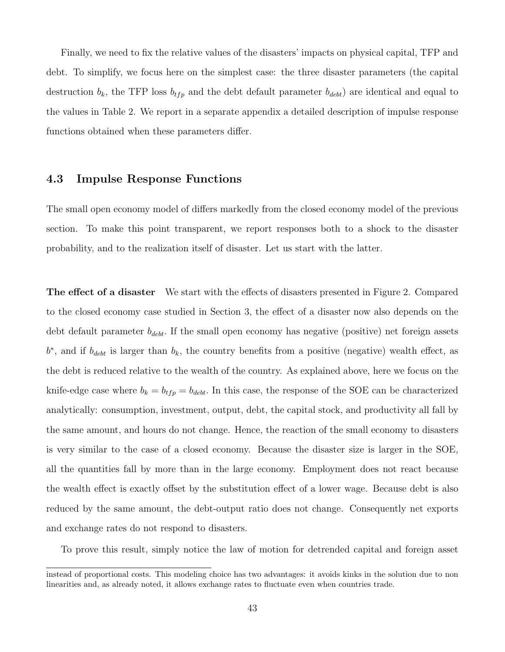Finally, we need to fix the relative values of the disasters' impacts on physical capital, TFP and debt. To simplify, we focus here on the simplest case: the three disaster parameters (the capital destruction  $b_k$ , the TFP loss  $b_{tfp}$  and the debt default parameter  $b_{debt}$  are identical and equal to the values in Table 2. We report in a separate appendix a detailed description of impulse response functions obtained when these parameters differ.

#### 4.3 Impulse Response Functions

The small open economy model of differs markedly from the closed economy model of the previous section. To make this point transparent, we report responses both to a shock to the disaster probability, and to the realization itself of disaster. Let us start with the latter.

The effect of a disaster We start with the effects of disasters presented in Figure 2. Compared to the closed economy case studied in Section 3, the effect of a disaster now also depends on the debt default parameter  $b_{debt}$ . If the small open economy has negative (positive) net foreign assets  $b^*$ , and if  $b_{debt}$  is larger than  $b_k$ , the country benefits from a positive (negative) wealth effect, as the debt is reduced relative to the wealth of the country. As explained above, here we focus on the knife-edge case where  $b_k = b_{tfp} = b_{debt}$ . In this case, the response of the SOE can be characterized analytically: consumption, investment, output, debt, the capital stock, and productivity all fall by the same amount, and hours do not change. Hence, the reaction of the small economy to disasters is very similar to the case of a closed economy. Because the disaster size is larger in the SOE, all the quantities fall by more than in the large economy. Employment does not react because the wealth effect is exactly offset by the substitution effect of a lower wage. Because debt is also reduced by the same amount, the debt-output ratio does not change. Consequently net exports and exchange rates do not respond to disasters.

To prove this result, simply notice the law of motion for detrended capital and foreign asset

instead of proportional costs. This modeling choice has two advantages: it avoids kinks in the solution due to non linearities and, as already noted, it allows exchange rates to fluctuate even when countries trade.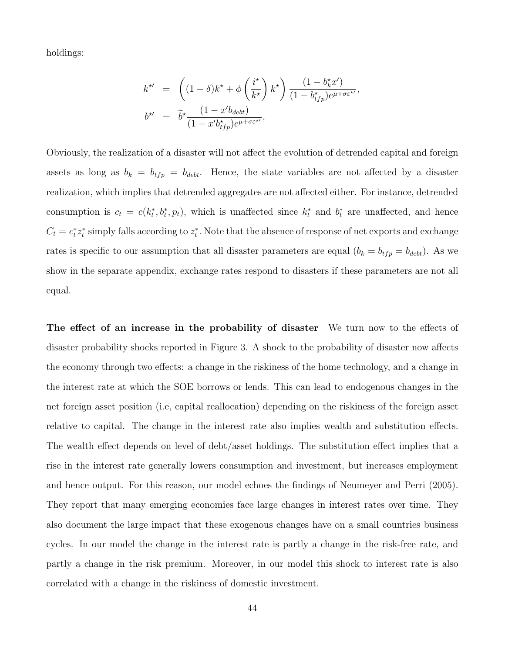holdings:

$$
k^{\star\prime} = \left( (1 - \delta)k^{\star} + \phi \left( \frac{i^{\star}}{k^{\star}} \right) k^{\star} \right) \frac{(1 - b_k^{\star} x')}{(1 - b_{tfp}^{\star})e^{\mu + \sigma \varepsilon^{\star \prime}}},
$$
  

$$
b^{\star\prime} = \tilde{b}^{\star} \frac{(1 - x'b_{debt})}{(1 - x'b_{tfp}^{\star})e^{\mu + \sigma \varepsilon^{\star \prime}}},
$$

Obviously, the realization of a disaster will not affect the evolution of detrended capital and foreign assets as long as  $b_k = b_{tfp} = b_{debt}$ . Hence, the state variables are not affected by a disaster realization, which implies that detrended aggregates are not affected either. For instance, detrended consumption is  $c_t = c(k_t^*, b_t^*, p_t)$ , which is unaffected since  $k_t^*$  and  $b_t^*$  are unaffected, and hence  $C_t = c_t^* z_t^*$  simply falls according to  $z_t^*$ . Note that the absence of response of net exports and exchange rates is specific to our assumption that all disaster parameters are equal  $(b_k = b_{tfp} = b_{debt})$ . As we show in the separate appendix, exchange rates respond to disasters if these parameters are not all equal.

The effect of an increase in the probability of disaster We turn now to the effects of disaster probability shocks reported in Figure 3. A shock to the probability of disaster now affects the economy through two effects: a change in the riskiness of the home technology, and a change in the interest rate at which the SOE borrows or lends. This can lead to endogenous changes in the net foreign asset position (i.e, capital reallocation) depending on the riskiness of the foreign asset relative to capital. The change in the interest rate also implies wealth and substitution effects. The wealth effect depends on level of debt/asset holdings. The substitution effect implies that a rise in the interest rate generally lowers consumption and investment, but increases employment and hence output. For this reason, our model echoes the findings of Neumeyer and Perri (2005). They report that many emerging economies face large changes in interest rates over time. They also document the large impact that these exogenous changes have on a small countries business cycles. In our model the change in the interest rate is partly a change in the risk-free rate, and partly a change in the risk premium. Moreover, in our model this shock to interest rate is also correlated with a change in the riskiness of domestic investment.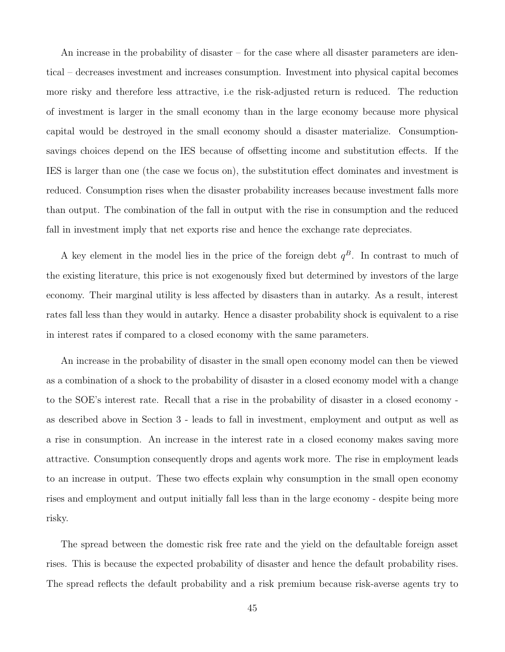An increase in the probability of disaster – for the case where all disaster parameters are identical – decreases investment and increases consumption. Investment into physical capital becomes more risky and therefore less attractive, i.e the risk-adjusted return is reduced. The reduction of investment is larger in the small economy than in the large economy because more physical capital would be destroyed in the small economy should a disaster materialize. Consumptionsavings choices depend on the IES because of offsetting income and substitution effects. If the IES is larger than one (the case we focus on), the substitution effect dominates and investment is reduced. Consumption rises when the disaster probability increases because investment falls more than output. The combination of the fall in output with the rise in consumption and the reduced fall in investment imply that net exports rise and hence the exchange rate depreciates.

A key element in the model lies in the price of the foreign debt  $q^B$ . In contrast to much of the existing literature, this price is not exogenously fixed but determined by investors of the large economy. Their marginal utility is less affected by disasters than in autarky. As a result, interest rates fall less than they would in autarky. Hence a disaster probability shock is equivalent to a rise in interest rates if compared to a closed economy with the same parameters.

An increase in the probability of disaster in the small open economy model can then be viewed as a combination of a shock to the probability of disaster in a closed economy model with a change to the SOE's interest rate. Recall that a rise in the probability of disaster in a closed economy as described above in Section 3 - leads to fall in investment, employment and output as well as a rise in consumption. An increase in the interest rate in a closed economy makes saving more attractive. Consumption consequently drops and agents work more. The rise in employment leads to an increase in output. These two effects explain why consumption in the small open economy rises and employment and output initially fall less than in the large economy - despite being more risky.

The spread between the domestic risk free rate and the yield on the defaultable foreign asset rises. This is because the expected probability of disaster and hence the default probability rises. The spread reflects the default probability and a risk premium because risk-averse agents try to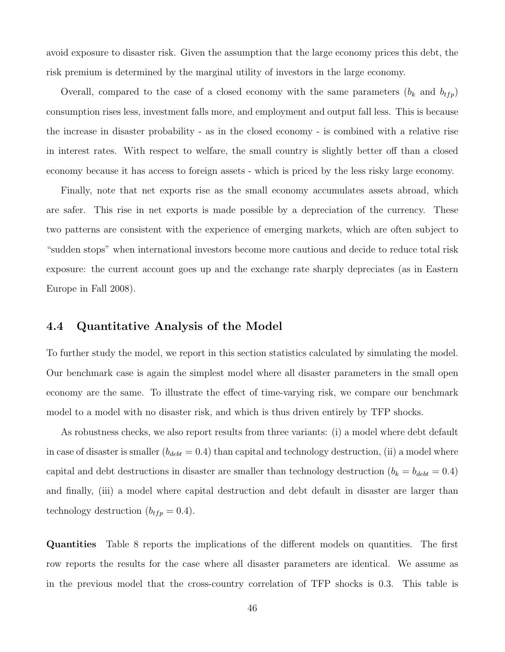avoid exposure to disaster risk. Given the assumption that the large economy prices this debt, the risk premium is determined by the marginal utility of investors in the large economy.

Overall, compared to the case of a closed economy with the same parameters  $(b_k \text{ and } b_{tfp})$ consumption rises less, investment falls more, and employment and output fall less. This is because the increase in disaster probability - as in the closed economy - is combined with a relative rise in interest rates. With respect to welfare, the small country is slightly better off than a closed economy because it has access to foreign assets - which is priced by the less risky large economy.

Finally, note that net exports rise as the small economy accumulates assets abroad, which are safer. This rise in net exports is made possible by a depreciation of the currency. These two patterns are consistent with the experience of emerging markets, which are often subject to "sudden stops" when international investors become more cautious and decide to reduce total risk exposure: the current account goes up and the exchange rate sharply depreciates (as in Eastern Europe in Fall 2008).

#### 4.4 Quantitative Analysis of the Model

To further study the model, we report in this section statistics calculated by simulating the model. Our benchmark case is again the simplest model where all disaster parameters in the small open economy are the same. To illustrate the effect of time-varying risk, we compare our benchmark model to a model with no disaster risk, and which is thus driven entirely by TFP shocks.

As robustness checks, we also report results from three variants: (i) a model where debt default in case of disaster is smaller  $(b_{debt} = 0.4)$  than capital and technology destruction, (ii) a model where capital and debt destructions in disaster are smaller than technology destruction ( $b_k = b_{debt} = 0.4$ ) and finally, (iii) a model where capital destruction and debt default in disaster are larger than technology destruction  $(b_{tfp} = 0.4)$ .

Quantities Table 8 reports the implications of the different models on quantities. The first row reports the results for the case where all disaster parameters are identical. We assume as in the previous model that the cross-country correlation of TFP shocks is 0.3. This table is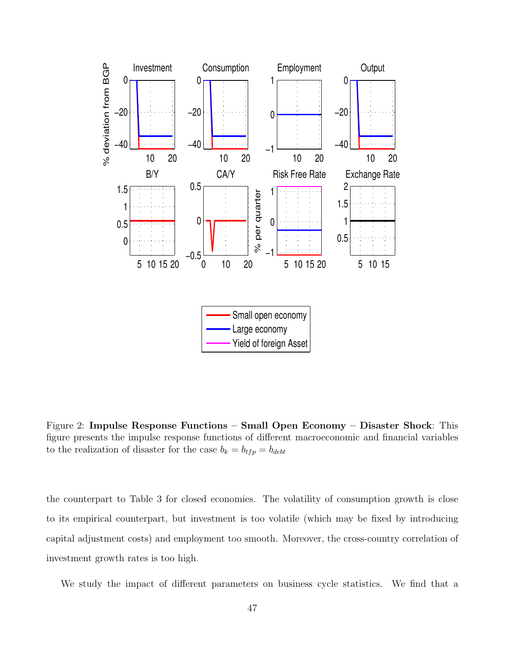

Figure 2: Impulse Response Functions – Small Open Economy – Disaster Shock: This figure presents the impulse response functions of different macroeconomic and financial variables to the realization of disaster for the case  $b_k = b_{tfp} = b_{debt}$ 

the counterpart to Table 3 for closed economies. The volatility of consumption growth is close to its empirical counterpart, but investment is too volatile (which may be fixed by introducing capital adjustment costs) and employment too smooth. Moreover, the cross-country correlation of investment growth rates is too high.

We study the impact of different parameters on business cycle statistics. We find that a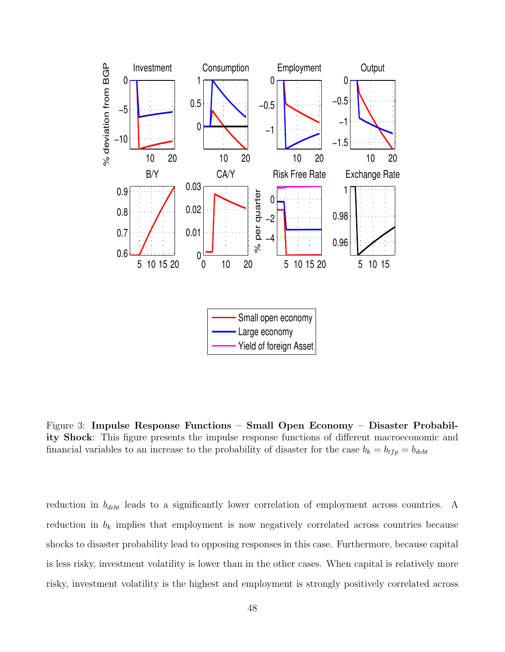

Figure 3: Impulse Response Functions – Small Open Economy – Disaster Probability Shock: This figure presents the impulse response functions of different macroeconomic and financial variables to an increase to the probability of disaster for the case  $b_k = b_{tfp} = b_{debt}$ 

reduction in  $b_{debt}$  leads to a significantly lower correlation of employment across countries. A reduction in  $b_k$  implies that employment is now negatively correlated across countries because shocks to disaster probability lead to opposing responses in this case. Furthermore, because capital is less risky, investment volatility is lower than in the other cases. When capital is relatively more risky, investment volatility is the highest and employment is strongly positively correlated across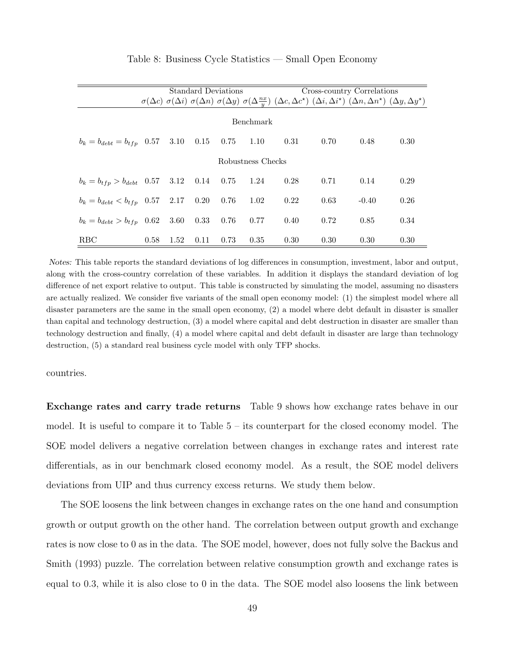|                                                               |      |      |      |      | Standard Deviations |          |      | Cross-country Correlations                                                                                                                                                                                    |      |
|---------------------------------------------------------------|------|------|------|------|---------------------|----------|------|---------------------------------------------------------------------------------------------------------------------------------------------------------------------------------------------------------------|------|
|                                                               |      |      |      |      |                     |          |      | $\sigma(\Delta c)$ $\sigma(\Delta i)$ $\sigma(\Delta n)$ $\sigma(\Delta y)$ $\sigma(\Delta \frac{nx}{y})$ $(\Delta c, \Delta c^*)$ $(\Delta i, \Delta i^*)$ $(\Delta n, \Delta n^*)$ $(\Delta y, \Delta y^*)$ |      |
| Benchmark                                                     |      |      |      |      |                     |          |      |                                                                                                                                                                                                               |      |
| $b_k = b_{debt} = b_{tfp}$ 0.57 3.10 0.15 0.75 1.10 0.31 0.70 |      |      |      |      |                     |          |      | 0.48                                                                                                                                                                                                          | 0.30 |
| Robustness Checks                                             |      |      |      |      |                     |          |      |                                                                                                                                                                                                               |      |
| $b_k = b_{tfp} > b_{debt}$ 0.57 3.12 0.14 0.75 1.24           |      |      |      |      |                     | 0.28     | 0.71 | 0.14                                                                                                                                                                                                          | 0.29 |
| $b_k = b_{debt} < b_{tfp}$ 0.57 2.17 0.20 0.76 1.02           |      |      |      |      |                     | $0.22\,$ | 0.63 | $-0.40$                                                                                                                                                                                                       | 0.26 |
| $b_k = b_{debt} > b_{tfp}$ 0.62 3.60 0.33 0.76 0.77           |      |      |      |      |                     | 0.40     | 0.72 | 0.85                                                                                                                                                                                                          | 0.34 |
| <b>RBC</b>                                                    | 0.58 | 1.52 | 0.11 | 0.73 | 0.35                | 0.30     | 0.30 | 0.30                                                                                                                                                                                                          | 0.30 |

#### Table 8: Business Cycle Statistics — Small Open Economy

Notes: This table reports the standard deviations of log differences in consumption, investment, labor and output, along with the cross-country correlation of these variables. In addition it displays the standard deviation of log difference of net export relative to output. This table is constructed by simulating the model, assuming no disasters are actually realized. We consider five variants of the small open economy model: (1) the simplest model where all disaster parameters are the same in the small open economy, (2) a model where debt default in disaster is smaller than capital and technology destruction, (3) a model where capital and debt destruction in disaster are smaller than technology destruction and finally, (4) a model where capital and debt default in disaster are large than technology destruction, (5) a standard real business cycle model with only TFP shocks.

countries.

Exchange rates and carry trade returns Table 9 shows how exchange rates behave in our model. It is useful to compare it to Table  $5 -$  its counterpart for the closed economy model. The SOE model delivers a negative correlation between changes in exchange rates and interest rate differentials, as in our benchmark closed economy model. As a result, the SOE model delivers deviations from UIP and thus currency excess returns. We study them below.

The SOE loosens the link between changes in exchange rates on the one hand and consumption growth or output growth on the other hand. The correlation between output growth and exchange rates is now close to 0 as in the data. The SOE model, however, does not fully solve the Backus and Smith (1993) puzzle. The correlation between relative consumption growth and exchange rates is equal to 0.3, while it is also close to 0 in the data. The SOE model also loosens the link between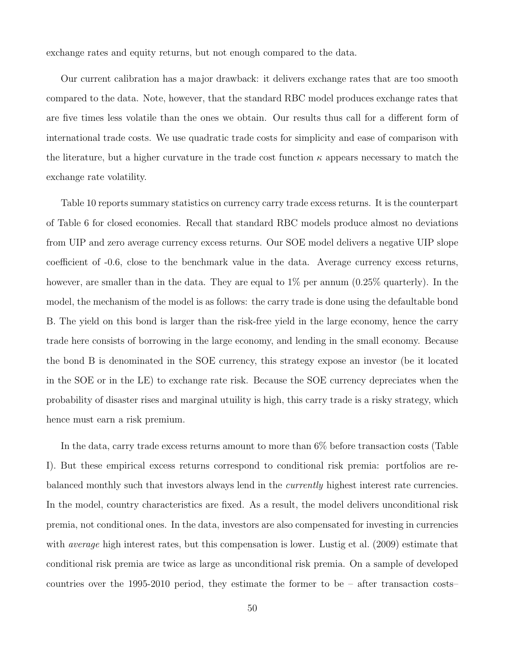exchange rates and equity returns, but not enough compared to the data.

Our current calibration has a major drawback: it delivers exchange rates that are too smooth compared to the data. Note, however, that the standard RBC model produces exchange rates that are five times less volatile than the ones we obtain. Our results thus call for a different form of international trade costs. We use quadratic trade costs for simplicity and ease of comparison with the literature, but a higher curvature in the trade cost function  $\kappa$  appears necessary to match the exchange rate volatility.

Table 10 reports summary statistics on currency carry trade excess returns. It is the counterpart of Table 6 for closed economies. Recall that standard RBC models produce almost no deviations from UIP and zero average currency excess returns. Our SOE model delivers a negative UIP slope coefficient of -0.6, close to the benchmark value in the data. Average currency excess returns, however, are smaller than in the data. They are equal to  $1\%$  per annum  $(0.25\%$  quarterly). In the model, the mechanism of the model is as follows: the carry trade is done using the defaultable bond B. The yield on this bond is larger than the risk-free yield in the large economy, hence the carry trade here consists of borrowing in the large economy, and lending in the small economy. Because the bond B is denominated in the SOE currency, this strategy expose an investor (be it located in the SOE or in the LE) to exchange rate risk. Because the SOE currency depreciates when the probability of disaster rises and marginal utuility is high, this carry trade is a risky strategy, which hence must earn a risk premium.

In the data, carry trade excess returns amount to more than 6% before transaction costs (Table I). But these empirical excess returns correspond to conditional risk premia: portfolios are rebalanced monthly such that investors always lend in the currently highest interest rate currencies. In the model, country characteristics are fixed. As a result, the model delivers unconditional risk premia, not conditional ones. In the data, investors are also compensated for investing in currencies with *average* high interest rates, but this compensation is lower. Lustig et al. (2009) estimate that conditional risk premia are twice as large as unconditional risk premia. On a sample of developed countries over the 1995-2010 period, they estimate the former to be – after transaction costs–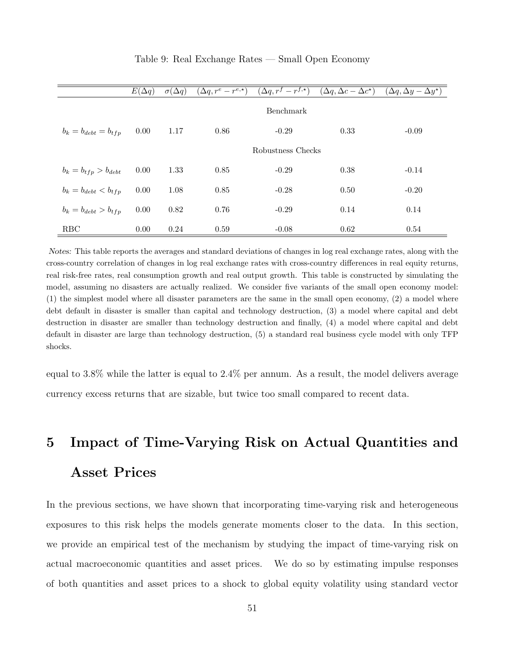|                            | $E(\Delta q)$ | $\overline{\sigma(\Delta q)}$ | $(\Delta q, r^e-r^{e,\star})$ | $(\Delta q, r^f-r^{f,\star})$ | $(\Delta q, \Delta c - \Delta \overline{c^*})$ | $(\Delta q, \Delta y - \overline{\Delta y^*})$ |
|----------------------------|---------------|-------------------------------|-------------------------------|-------------------------------|------------------------------------------------|------------------------------------------------|
|                            |               |                               |                               | Benchmark                     |                                                |                                                |
| $b_k = b_{debt} = b_{tfp}$ | 0.00          | 1.17                          | 0.86                          | $-0.29$                       | 0.33                                           | $-0.09$                                        |
|                            |               |                               |                               | Robustness Checks             |                                                |                                                |
| $b_k = b_{tfp} > b_{debt}$ | 0.00          | 1.33                          | 0.85                          | $-0.29$                       | 0.38                                           | $-0.14$                                        |
| $b_k = b_{debt} < b_{tfp}$ | 0.00          | 1.08                          | 0.85                          | $-0.28$                       | 0.50                                           | $-0.20$                                        |
| $b_k = b_{debt} > b_{tfp}$ | 0.00          | 0.82                          | 0.76                          | $-0.29$                       | 0.14                                           | 0.14                                           |
| <b>RBC</b>                 | 0.00          | 0.24                          | 0.59                          | $-0.08$                       | 0.62                                           | 0.54                                           |

#### Table 9: Real Exchange Rates — Small Open Economy

Notes: This table reports the averages and standard deviations of changes in log real exchange rates, along with the cross-country correlation of changes in log real exchange rates with cross-country differences in real equity returns, real risk-free rates, real consumption growth and real output growth. This table is constructed by simulating the model, assuming no disasters are actually realized. We consider five variants of the small open economy model: (1) the simplest model where all disaster parameters are the same in the small open economy, (2) a model where debt default in disaster is smaller than capital and technology destruction, (3) a model where capital and debt destruction in disaster are smaller than technology destruction and finally, (4) a model where capital and debt default in disaster are large than technology destruction, (5) a standard real business cycle model with only TFP shocks.

equal to 3.8% while the latter is equal to 2.4% per annum. As a result, the model delivers average currency excess returns that are sizable, but twice too small compared to recent data.

# 5 Impact of Time-Varying Risk on Actual Quantities and Asset Prices

In the previous sections, we have shown that incorporating time-varying risk and heterogeneous exposures to this risk helps the models generate moments closer to the data. In this section, we provide an empirical test of the mechanism by studying the impact of time-varying risk on actual macroeconomic quantities and asset prices. We do so by estimating impulse responses of both quantities and asset prices to a shock to global equity volatility using standard vector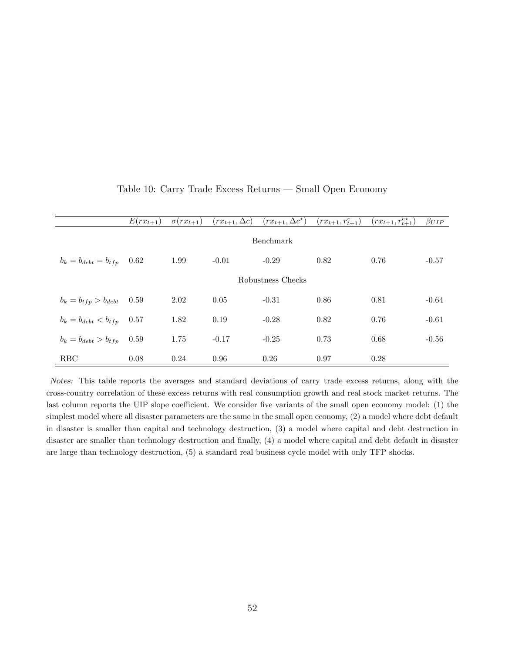|                                 | $E(rx_{t+1})$ | $\sigma(rx_{t+1})$ | $(rx_{t+1}, \Delta c)$ | $(rx_{t+1}, \Delta c^*)$ | $(rx_{t+1}, r_{t+1}^e)$ | $(rx_{t+1}, r_{t+1}^{e*})$ | $\beta_{UIP}$ |  |  |  |
|---------------------------------|---------------|--------------------|------------------------|--------------------------|-------------------------|----------------------------|---------------|--|--|--|
|                                 | Benchmark     |                    |                        |                          |                         |                            |               |  |  |  |
| $b_k = b_{debt} = b_{tfp}$      | 0.62          | 1.99               | $-0.01$                | $-0.29$                  | 0.82                    | 0.76                       | $-0.57$       |  |  |  |
|                                 |               |                    |                        | Robustness Checks        |                         |                            |               |  |  |  |
| $b_k = b_{tfp} > b_{debt}$ 0.59 |               | 2.02               | 0.05                   | $-0.31$                  | 0.86                    | 0.81                       | $-0.64$       |  |  |  |
| $b_k = b_{debt} < b_{tfp}$ 0.57 |               | 1.82               | 0.19                   | $-0.28$                  | 0.82                    | 0.76                       | $-0.61$       |  |  |  |
| $b_k = b_{debt} > b_{tfp}$ 0.59 |               | 1.75               | $-0.17$                | $-0.25$                  | 0.73                    | 0.68                       | $-0.56$       |  |  |  |
| <b>RBC</b>                      | 0.08          | 0.24               | 0.96                   | 0.26                     | 0.97                    | 0.28                       |               |  |  |  |

#### Table 10: Carry Trade Excess Returns — Small Open Economy

Notes: This table reports the averages and standard deviations of carry trade excess returns, along with the cross-country correlation of these excess returns with real consumption growth and real stock market returns. The last column reports the UIP slope coefficient. We consider five variants of the small open economy model: (1) the simplest model where all disaster parameters are the same in the small open economy, (2) a model where debt default in disaster is smaller than capital and technology destruction, (3) a model where capital and debt destruction in disaster are smaller than technology destruction and finally, (4) a model where capital and debt default in disaster are large than technology destruction, (5) a standard real business cycle model with only TFP shocks.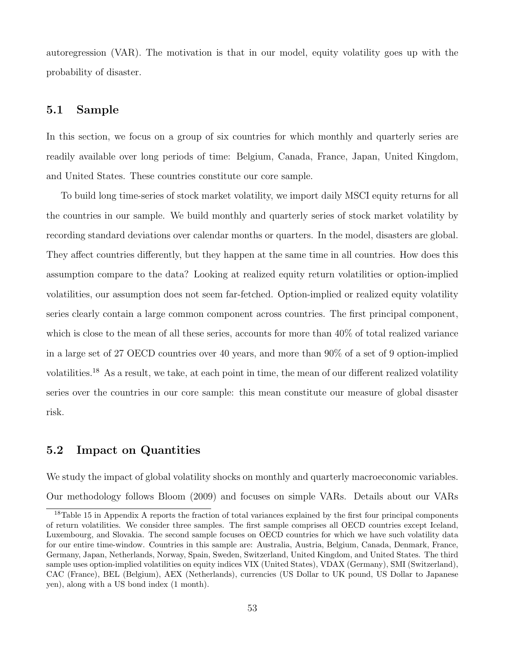autoregression (VAR). The motivation is that in our model, equity volatility goes up with the probability of disaster.

#### 5.1 Sample

In this section, we focus on a group of six countries for which monthly and quarterly series are readily available over long periods of time: Belgium, Canada, France, Japan, United Kingdom, and United States. These countries constitute our core sample.

To build long time-series of stock market volatility, we import daily MSCI equity returns for all the countries in our sample. We build monthly and quarterly series of stock market volatility by recording standard deviations over calendar months or quarters. In the model, disasters are global. They affect countries differently, but they happen at the same time in all countries. How does this assumption compare to the data? Looking at realized equity return volatilities or option-implied volatilities, our assumption does not seem far-fetched. Option-implied or realized equity volatility series clearly contain a large common component across countries. The first principal component, which is close to the mean of all these series, accounts for more than  $40\%$  of total realized variance in a large set of 27 OECD countries over 40 years, and more than 90% of a set of 9 option-implied volatilities.<sup>18</sup> As a result, we take, at each point in time, the mean of our different realized volatility series over the countries in our core sample: this mean constitute our measure of global disaster risk.

#### 5.2 Impact on Quantities

We study the impact of global volatility shocks on monthly and quarterly macroeconomic variables. Our methodology follows Bloom (2009) and focuses on simple VARs. Details about our VARs

<sup>&</sup>lt;sup>18</sup>Table 15 in Appendix A reports the fraction of total variances explained by the first four principal components of return volatilities. We consider three samples. The first sample comprises all OECD countries except Iceland, Luxembourg, and Slovakia. The second sample focuses on OECD countries for which we have such volatility data for our entire time-window. Countries in this sample are: Australia, Austria, Belgium, Canada, Denmark, France, Germany, Japan, Netherlands, Norway, Spain, Sweden, Switzerland, United Kingdom, and United States. The third sample uses option-implied volatilities on equity indices VIX (United States), VDAX (Germany), SMI (Switzerland), CAC (France), BEL (Belgium), AEX (Netherlands), currencies (US Dollar to UK pound, US Dollar to Japanese yen), along with a US bond index (1 month).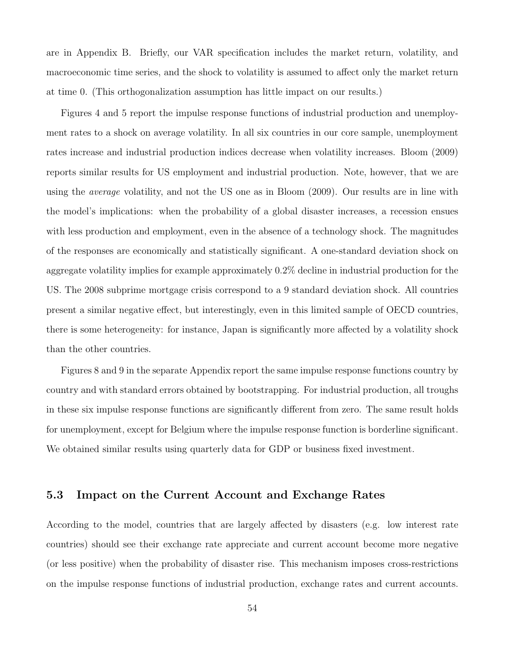are in Appendix B. Briefly, our VAR specification includes the market return, volatility, and macroeconomic time series, and the shock to volatility is assumed to affect only the market return at time 0. (This orthogonalization assumption has little impact on our results.)

Figures 4 and 5 report the impulse response functions of industrial production and unemployment rates to a shock on average volatility. In all six countries in our core sample, unemployment rates increase and industrial production indices decrease when volatility increases. Bloom (2009) reports similar results for US employment and industrial production. Note, however, that we are using the average volatility, and not the US one as in Bloom (2009). Our results are in line with the model's implications: when the probability of a global disaster increases, a recession ensues with less production and employment, even in the absence of a technology shock. The magnitudes of the responses are economically and statistically significant. A one-standard deviation shock on aggregate volatility implies for example approximately 0.2% decline in industrial production for the US. The 2008 subprime mortgage crisis correspond to a 9 standard deviation shock. All countries present a similar negative effect, but interestingly, even in this limited sample of OECD countries, there is some heterogeneity: for instance, Japan is significantly more affected by a volatility shock than the other countries.

Figures 8 and 9 in the separate Appendix report the same impulse response functions country by country and with standard errors obtained by bootstrapping. For industrial production, all troughs in these six impulse response functions are significantly different from zero. The same result holds for unemployment, except for Belgium where the impulse response function is borderline significant. We obtained similar results using quarterly data for GDP or business fixed investment.

#### 5.3 Impact on the Current Account and Exchange Rates

According to the model, countries that are largely affected by disasters (e.g. low interest rate countries) should see their exchange rate appreciate and current account become more negative (or less positive) when the probability of disaster rise. This mechanism imposes cross-restrictions on the impulse response functions of industrial production, exchange rates and current accounts.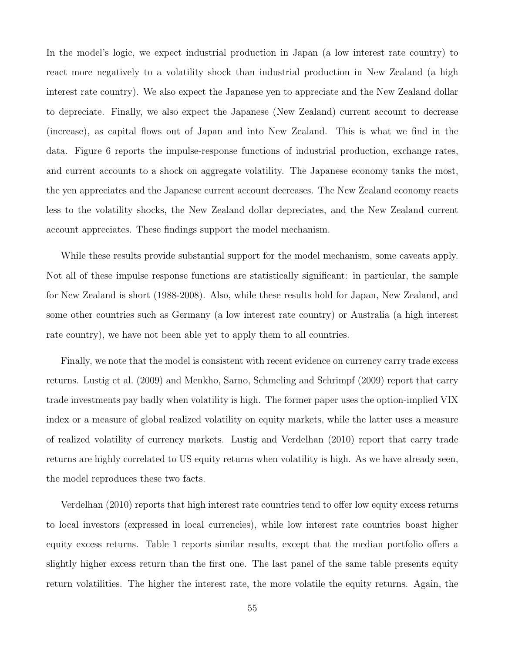In the model's logic, we expect industrial production in Japan (a low interest rate country) to react more negatively to a volatility shock than industrial production in New Zealand (a high interest rate country). We also expect the Japanese yen to appreciate and the New Zealand dollar to depreciate. Finally, we also expect the Japanese (New Zealand) current account to decrease (increase), as capital flows out of Japan and into New Zealand. This is what we find in the data. Figure 6 reports the impulse-response functions of industrial production, exchange rates, and current accounts to a shock on aggregate volatility. The Japanese economy tanks the most, the yen appreciates and the Japanese current account decreases. The New Zealand economy reacts less to the volatility shocks, the New Zealand dollar depreciates, and the New Zealand current account appreciates. These findings support the model mechanism.

While these results provide substantial support for the model mechanism, some caveats apply. Not all of these impulse response functions are statistically significant: in particular, the sample for New Zealand is short (1988-2008). Also, while these results hold for Japan, New Zealand, and some other countries such as Germany (a low interest rate country) or Australia (a high interest rate country), we have not been able yet to apply them to all countries.

Finally, we note that the model is consistent with recent evidence on currency carry trade excess returns. Lustig et al. (2009) and Menkho, Sarno, Schmeling and Schrimpf (2009) report that carry trade investments pay badly when volatility is high. The former paper uses the option-implied VIX index or a measure of global realized volatility on equity markets, while the latter uses a measure of realized volatility of currency markets. Lustig and Verdelhan (2010) report that carry trade returns are highly correlated to US equity returns when volatility is high. As we have already seen, the model reproduces these two facts.

Verdelhan (2010) reports that high interest rate countries tend to offer low equity excess returns to local investors (expressed in local currencies), while low interest rate countries boast higher equity excess returns. Table 1 reports similar results, except that the median portfolio offers a slightly higher excess return than the first one. The last panel of the same table presents equity return volatilities. The higher the interest rate, the more volatile the equity returns. Again, the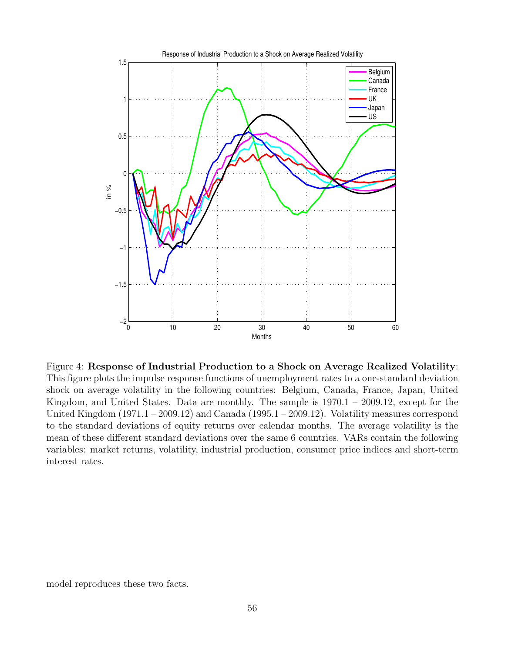

Figure 4: Response of Industrial Production to a Shock on Average Realized Volatility: This figure plots the impulse response functions of unemployment rates to a one-standard deviation shock on average volatility in the following countries: Belgium, Canada, France, Japan, United Kingdom, and United States. Data are monthly. The sample is  $1970.1 - 2009.12$ , except for the United Kingdom (1971.1 – 2009.12) and Canada (1995.1 – 2009.12). Volatility measures correspond to the standard deviations of equity returns over calendar months. The average volatility is the mean of these different standard deviations over the same 6 countries. VARs contain the following variables: market returns, volatility, industrial production, consumer price indices and short-term interest rates.

model reproduces these two facts.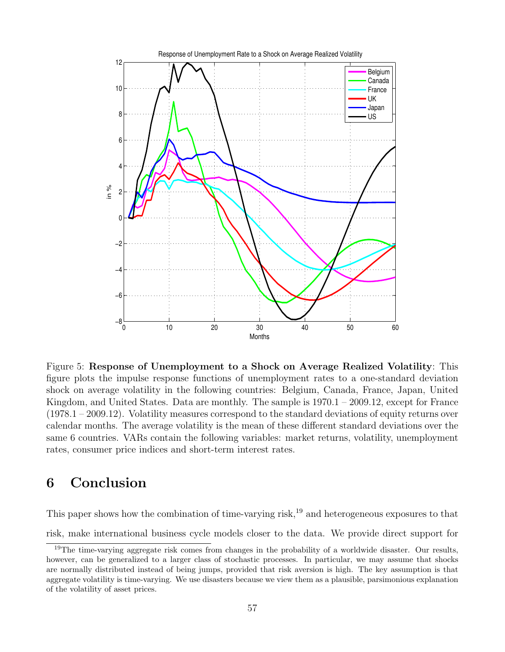

Figure 5: Response of Unemployment to a Shock on Average Realized Volatility: This figure plots the impulse response functions of unemployment rates to a one-standard deviation shock on average volatility in the following countries: Belgium, Canada, France, Japan, United Kingdom, and United States. Data are monthly. The sample is  $1970.1 - 2009.12$ , except for France (1978.1 – 2009.12). Volatility measures correspond to the standard deviations of equity returns over calendar months. The average volatility is the mean of these different standard deviations over the same 6 countries. VARs contain the following variables: market returns, volatility, unemployment rates, consumer price indices and short-term interest rates.

## 6 Conclusion

This paper shows how the combination of time-varying risk,<sup>19</sup> and heterogeneous exposures to that risk, make international business cycle models closer to the data. We provide direct support for

<sup>&</sup>lt;sup>19</sup>The time-varying aggregate risk comes from changes in the probability of a worldwide disaster. Our results, however, can be generalized to a larger class of stochastic processes. In particular, we may assume that shocks are normally distributed instead of being jumps, provided that risk aversion is high. The key assumption is that aggregate volatility is time-varying. We use disasters because we view them as a plausible, parsimonious explanation of the volatility of asset prices.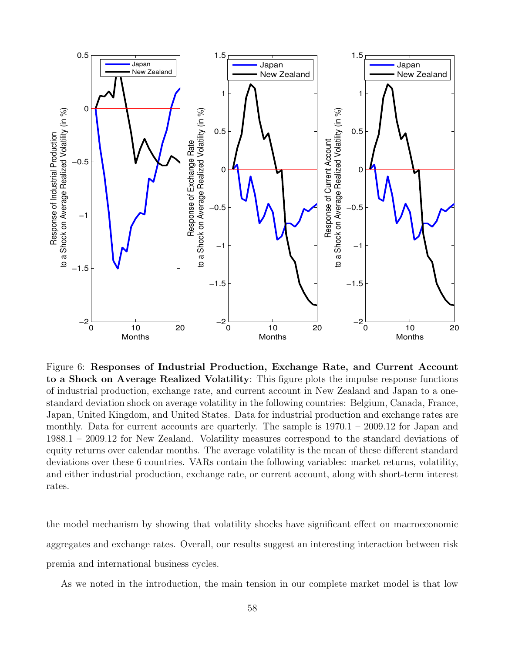

Figure 6: Responses of Industrial Production, Exchange Rate, and Current Account to a Shock on Average Realized Volatility: This figure plots the impulse response functions of industrial production, exchange rate, and current account in New Zealand and Japan to a onestandard deviation shock on average volatility in the following countries: Belgium, Canada, France, Japan, United Kingdom, and United States. Data for industrial production and exchange rates are monthly. Data for current accounts are quarterly. The sample is  $1970.1 - 2009.12$  for Japan and 1988.1 – 2009.12 for New Zealand. Volatility measures correspond to the standard deviations of equity returns over calendar months. The average volatility is the mean of these different standard deviations over these 6 countries. VARs contain the following variables: market returns, volatility, and either industrial production, exchange rate, or current account, along with short-term interest rates.

the model mechanism by showing that volatility shocks have significant effect on macroeconomic aggregates and exchange rates. Overall, our results suggest an interesting interaction between risk premia and international business cycles.

As we noted in the introduction, the main tension in our complete market model is that low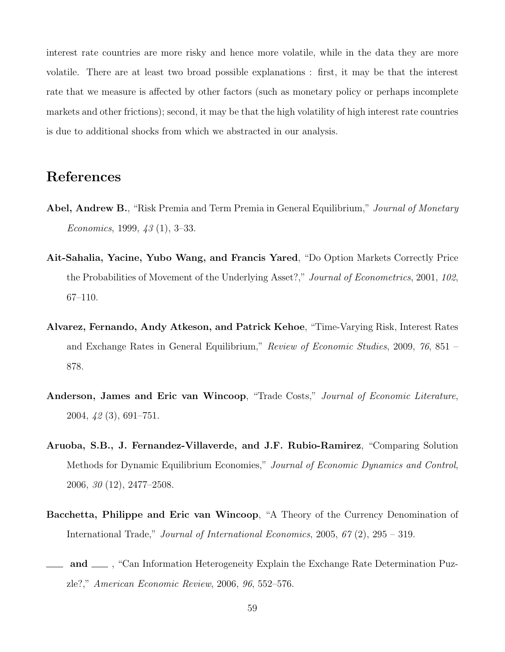interest rate countries are more risky and hence more volatile, while in the data they are more volatile. There are at least two broad possible explanations : first, it may be that the interest rate that we measure is affected by other factors (such as monetary policy or perhaps incomplete markets and other frictions); second, it may be that the high volatility of high interest rate countries is due to additional shocks from which we abstracted in our analysis.

## References

- Abel, Andrew B., "Risk Premia and Term Premia in General Equilibrium," Journal of Monetary Economics, 1999,  $43(1)$ , 3-33.
- Ait-Sahalia, Yacine, Yubo Wang, and Francis Yared, "Do Option Markets Correctly Price the Probabilities of Movement of the Underlying Asset?," Journal of Econometrics, 2001, 102, 67–110.
- Alvarez, Fernando, Andy Atkeson, and Patrick Kehoe, "Time-Varying Risk, Interest Rates and Exchange Rates in General Equilibrium," Review of Economic Studies, 2009, 76, 851 – 878.
- Anderson, James and Eric van Wincoop, "Trade Costs," Journal of Economic Literature, 2004, 42 (3), 691–751.
- Aruoba, S.B., J. Fernandez-Villaverde, and J.F. Rubio-Ramirez, "Comparing Solution Methods for Dynamic Equilibrium Economies," Journal of Economic Dynamics and Control, 2006, 30 (12), 2477–2508.
- Bacchetta, Philippe and Eric van Wincoop, "A Theory of the Currency Denomination of International Trade," Journal of International Economics, 2005, 67 (2), 295 – 319.
- 1 and  $\mu$ , "Can Information Heterogeneity Explain the Exchange Rate Determination Puzzle?," American Economic Review, 2006, 96, 552–576.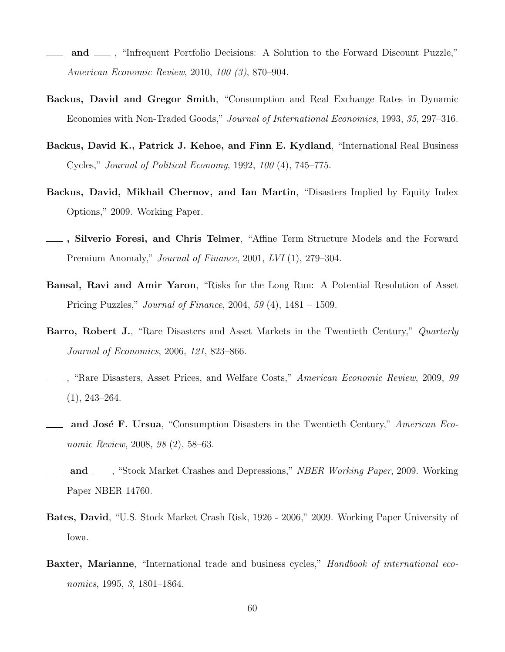- and  $\mu$ , "Infrequent Portfolio Decisions: A Solution to the Forward Discount Puzzle," American Economic Review, 2010, 100 (3), 870–904.
- Backus, David and Gregor Smith, "Consumption and Real Exchange Rates in Dynamic Economies with Non-Traded Goods," Journal of International Economics, 1993, 35, 297–316.
- Backus, David K., Patrick J. Kehoe, and Finn E. Kydland, "International Real Business Cycles," Journal of Political Economy, 1992, 100 (4), 745–775.
- Backus, David, Mikhail Chernov, and Ian Martin, "Disasters Implied by Equity Index Options," 2009. Working Paper.
- , Silverio Foresi, and Chris Telmer, "Affine Term Structure Models and the Forward Premium Anomaly," *Journal of Finance*, 2001, LVI (1), 279–304.
- Bansal, Ravi and Amir Yaron, "Risks for the Long Run: A Potential Resolution of Asset Pricing Puzzles," Journal of Finance, 2004, 59 (4), 1481 – 1509.
- Barro, Robert J., "Rare Disasters and Asset Markets in the Twentieth Century," Quarterly Journal of Economics, 2006, 121, 823–866.
- , "Rare Disasters, Asset Prices, and Welfare Costs," American Economic Review, 2009, 99 (1), 243–264.
- <sub>d</sub> and José F. Ursua, "Consumption Disasters in the Twentieth Century," American Economic Review, 2008, 98 (2), 58–63.
- and <sub>1</sub>, "Stock Market Crashes and Depressions," *NBER Working Paper*, 2009. Working Paper NBER 14760.
- Bates, David, "U.S. Stock Market Crash Risk, 1926 2006," 2009. Working Paper University of Iowa.
- Baxter, Marianne, "International trade and business cycles," Handbook of international economics, 1995, 3, 1801–1864.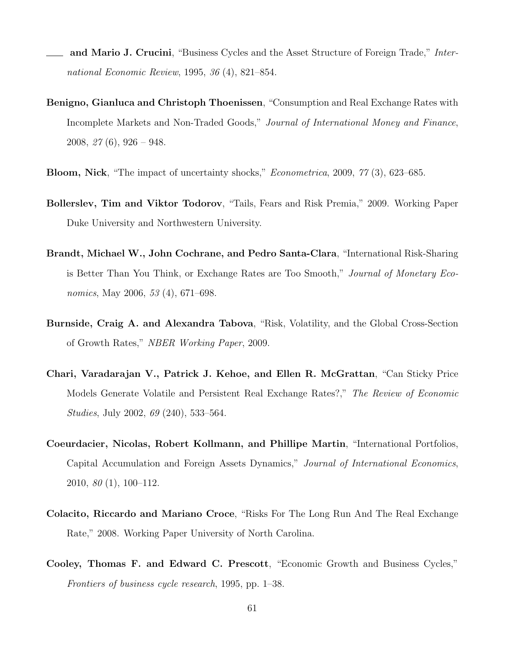- and Mario J. Crucini, "Business Cycles and the Asset Structure of Foreign Trade," International Economic Review, 1995, 36 (4), 821–854.
- Benigno, Gianluca and Christoph Thoenissen, "Consumption and Real Exchange Rates with Incomplete Markets and Non-Traded Goods," Journal of International Money and Finance, 2008,  $27(6)$ , 926 – 948.
- Bloom, Nick, "The impact of uncertainty shocks," Econometrica, 2009, 77 (3), 623–685.
- Bollerslev, Tim and Viktor Todorov, "Tails, Fears and Risk Premia," 2009. Working Paper Duke University and Northwestern University.
- Brandt, Michael W., John Cochrane, and Pedro Santa-Clara, "International Risk-Sharing is Better Than You Think, or Exchange Rates are Too Smooth," Journal of Monetary Economics, May 2006, 53 (4), 671–698.
- Burnside, Craig A. and Alexandra Tabova, "Risk, Volatility, and the Global Cross-Section of Growth Rates," NBER Working Paper, 2009.
- Chari, Varadarajan V., Patrick J. Kehoe, and Ellen R. McGrattan, "Can Sticky Price Models Generate Volatile and Persistent Real Exchange Rates?," The Review of Economic Studies, July 2002, 69 (240), 533–564.
- Coeurdacier, Nicolas, Robert Kollmann, and Phillipe Martin, "International Portfolios, Capital Accumulation and Foreign Assets Dynamics," Journal of International Economics, 2010, 80 (1), 100–112.
- Colacito, Riccardo and Mariano Croce, "Risks For The Long Run And The Real Exchange Rate," 2008. Working Paper University of North Carolina.
- Cooley, Thomas F. and Edward C. Prescott, "Economic Growth and Business Cycles," Frontiers of business cycle research, 1995, pp. 1–38.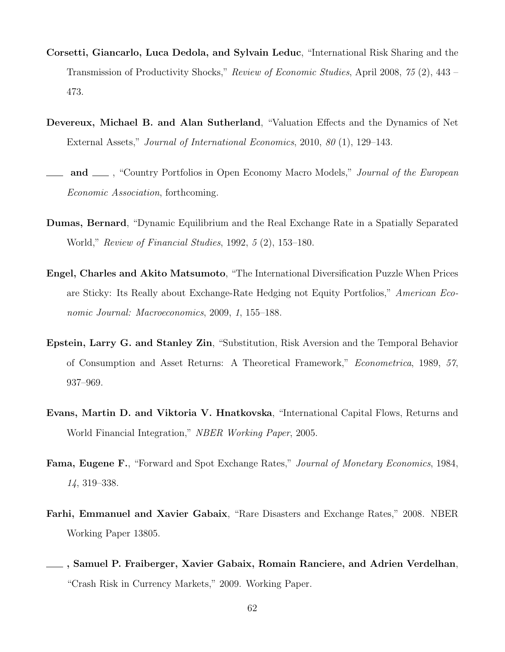- Corsetti, Giancarlo, Luca Dedola, and Sylvain Leduc, "International Risk Sharing and the Transmission of Productivity Shocks," Review of Economic Studies, April 2008, 75 (2), 443 – 473.
- Devereux, Michael B. and Alan Sutherland, "Valuation Effects and the Dynamics of Net External Assets," Journal of International Economics, 2010, 80 (1), 129–143.
- and  $\Box$ , "Country Portfolios in Open Economy Macro Models," *Journal of the European* Economic Association, forthcoming.
- Dumas, Bernard, "Dynamic Equilibrium and the Real Exchange Rate in a Spatially Separated World," Review of Financial Studies, 1992, 5 (2), 153–180.
- Engel, Charles and Akito Matsumoto, "The International Diversification Puzzle When Prices are Sticky: Its Really about Exchange-Rate Hedging not Equity Portfolios," American Economic Journal: Macroeconomics, 2009, 1, 155–188.
- Epstein, Larry G. and Stanley Zin, "Substitution, Risk Aversion and the Temporal Behavior of Consumption and Asset Returns: A Theoretical Framework," Econometrica, 1989, 57, 937–969.
- Evans, Martin D. and Viktoria V. Hnatkovska, "International Capital Flows, Returns and World Financial Integration," NBER Working Paper, 2005.
- Fama, Eugene F., "Forward and Spot Exchange Rates," Journal of Monetary Economics, 1984, 14, 319–338.
- Farhi, Emmanuel and Xavier Gabaix, "Rare Disasters and Exchange Rates," 2008. NBER Working Paper 13805.
- , Samuel P. Fraiberger, Xavier Gabaix, Romain Ranciere, and Adrien Verdelhan, "Crash Risk in Currency Markets," 2009. Working Paper.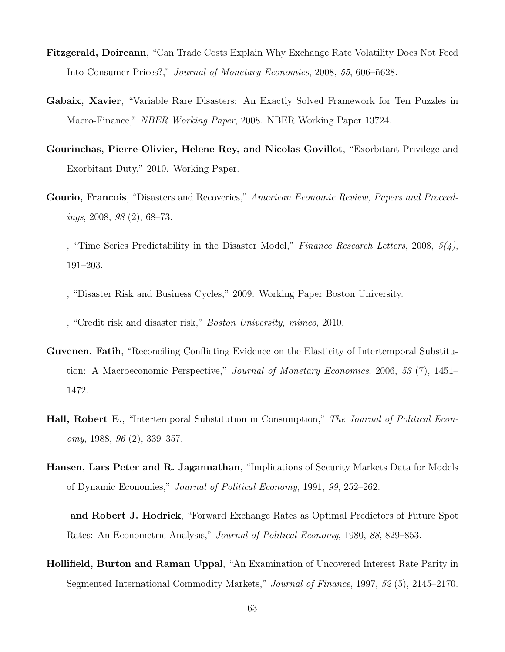- Fitzgerald, Doireann, "Can Trade Costs Explain Why Exchange Rate Volatility Does Not Feed Into Consumer Prices?," Journal of Monetary Economics, 2008, 55, 606–ñ628.
- Gabaix, Xavier, "Variable Rare Disasters: An Exactly Solved Framework for Ten Puzzles in Macro-Finance," NBER Working Paper, 2008. NBER Working Paper 13724.
- Gourinchas, Pierre-Olivier, Helene Rey, and Nicolas Govillot, "Exorbitant Privilege and Exorbitant Duty," 2010. Working Paper.
- Gourio, Francois, "Disasters and Recoveries," American Economic Review, Papers and Proceedings, 2008, 98 (2), 68–73.
- $\Box$ , "Time Series Predictability in the Disaster Model," Finance Research Letters, 2008,  $5/4$ ), 191–203.
- , "Disaster Risk and Business Cycles," 2009. Working Paper Boston University.
- , "Credit risk and disaster risk," Boston University, mimeo, 2010.
- Guvenen, Fatih, "Reconciling Conflicting Evidence on the Elasticity of Intertemporal Substitution: A Macroeconomic Perspective," Journal of Monetary Economics, 2006, 53 (7), 1451– 1472.
- Hall, Robert E., "Intertemporal Substitution in Consumption," The Journal of Political Economy, 1988, 96 (2), 339–357.
- Hansen, Lars Peter and R. Jagannathan, "Implications of Security Markets Data for Models of Dynamic Economies," Journal of Political Economy, 1991, 99, 252–262.
- and Robert J. Hodrick, "Forward Exchange Rates as Optimal Predictors of Future Spot Rates: An Econometric Analysis," Journal of Political Economy, 1980, 88, 829–853.
- Hollifield, Burton and Raman Uppal, "An Examination of Uncovered Interest Rate Parity in Segmented International Commodity Markets," Journal of Finance, 1997, 52 (5), 2145–2170.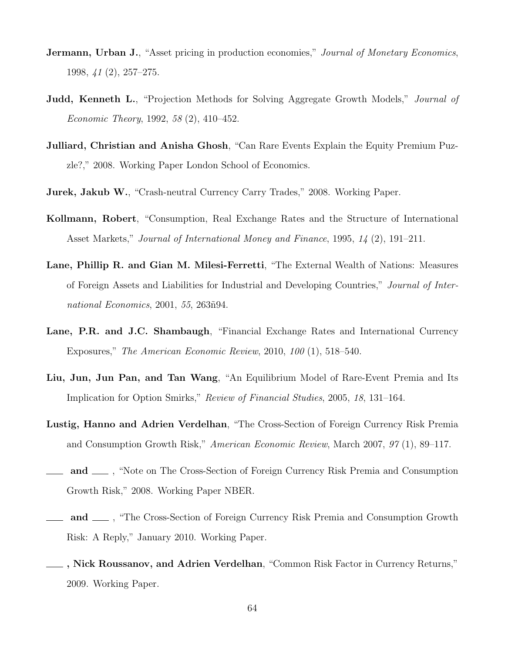- **Jermann, Urban J.**, "Asset pricing in production economies," *Journal of Monetary Economics*, 1998, 41 (2), 257–275.
- **Judd, Kenneth L.**, "Projection Methods for Solving Aggregate Growth Models," *Journal of* Economic Theory, 1992, 58 (2), 410–452.
- Julliard, Christian and Anisha Ghosh, "Can Rare Events Explain the Equity Premium Puzzle?," 2008. Working Paper London School of Economics.
- Jurek, Jakub W., "Crash-neutral Currency Carry Trades," 2008. Working Paper.
- Kollmann, Robert, "Consumption, Real Exchange Rates and the Structure of International Asset Markets," Journal of International Money and Finance, 1995, 14 (2), 191–211.
- Lane, Phillip R. and Gian M. Milesi-Ferretti, "The External Wealth of Nations: Measures of Foreign Assets and Liabilities for Industrial and Developing Countries," Journal of International Economics, 2001, 55, 263 $\tilde{m}$ 94.
- Lane, P.R. and J.C. Shambaugh, "Financial Exchange Rates and International Currency Exposures," The American Economic Review, 2010, 100 (1), 518–540.
- Liu, Jun, Jun Pan, and Tan Wang, "An Equilibrium Model of Rare-Event Premia and Its Implication for Option Smirks," Review of Financial Studies, 2005, 18, 131–164.
- Lustig, Hanno and Adrien Verdelhan, "The Cross-Section of Foreign Currency Risk Premia and Consumption Growth Risk," American Economic Review, March 2007, 97 (1), 89–117.
- and  $\equiv$ , "Note on The Cross-Section of Foreign Currency Risk Premia and Consumption Growth Risk," 2008. Working Paper NBER.
- and <sub>1</sub>, "The Cross-Section of Foreign Currency Risk Premia and Consumption Growth Risk: A Reply," January 2010. Working Paper.
- , Nick Roussanov, and Adrien Verdelhan, "Common Risk Factor in Currency Returns," 2009. Working Paper.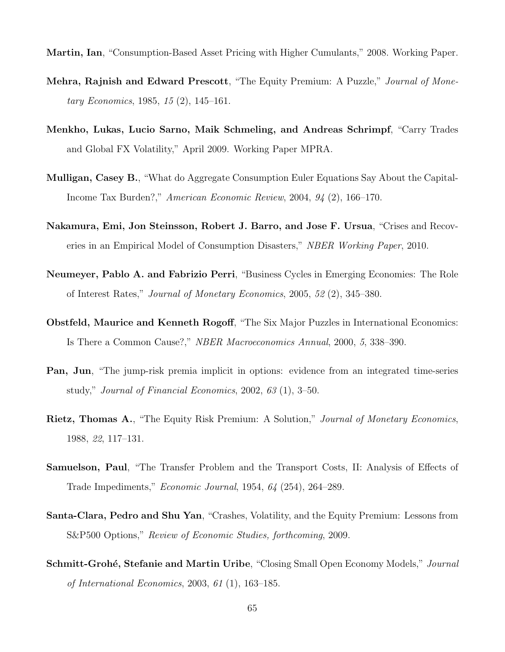Martin, Ian, "Consumption-Based Asset Pricing with Higher Cumulants," 2008. Working Paper.

- Mehra, Rajnish and Edward Prescott, "The Equity Premium: A Puzzle," Journal of Monetary Economics, 1985, 15 (2), 145–161.
- Menkho, Lukas, Lucio Sarno, Maik Schmeling, and Andreas Schrimpf, "Carry Trades and Global FX Volatility," April 2009. Working Paper MPRA.
- Mulligan, Casey B., "What do Aggregate Consumption Euler Equations Say About the Capital-Income Tax Burden?," American Economic Review, 2004, 94 (2), 166–170.
- Nakamura, Emi, Jon Steinsson, Robert J. Barro, and Jose F. Ursua, "Crises and Recoveries in an Empirical Model of Consumption Disasters," NBER Working Paper, 2010.
- Neumeyer, Pablo A. and Fabrizio Perri, "Business Cycles in Emerging Economies: The Role of Interest Rates," Journal of Monetary Economics, 2005, 52 (2), 345–380.
- Obstfeld, Maurice and Kenneth Rogoff, "The Six Major Puzzles in International Economics: Is There a Common Cause?," NBER Macroeconomics Annual, 2000, 5, 338–390.
- Pan, Jun, "The jump-risk premia implicit in options: evidence from an integrated time-series study," Journal of Financial Economics, 2002, 63 (1), 3–50.
- Rietz, Thomas A., "The Equity Risk Premium: A Solution," Journal of Monetary Economics, 1988, 22, 117–131.
- Samuelson, Paul, "The Transfer Problem and the Transport Costs, II: Analysis of Effects of Trade Impediments," Economic Journal, 1954, 64 (254), 264–289.
- Santa-Clara, Pedro and Shu Yan, "Crashes, Volatility, and the Equity Premium: Lessons from S&P500 Options," Review of Economic Studies, forthcoming, 2009.
- **Schmitt-Grohé, Stefanie and Martin Uribe**, "Closing Small Open Economy Models," *Journal* of International Economics, 2003, 61 (1), 163–185.